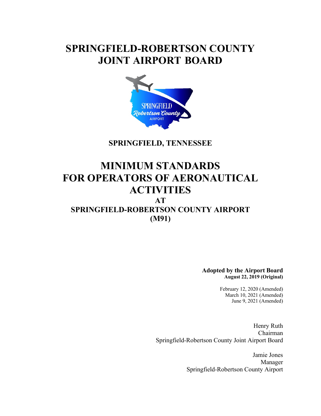# **SPRINGFIELD-ROBERTSON COUNTY JOINT AIRPORT BOARD**



**SPRINGFIELD, TENNESSEE**

# **MINIMUM STANDARDS FOR OPERATORS OF AERONAUTICAL ACTIVITIES**

# **AT SPRINGFIELD-ROBERTSON COUNTY AIRPORT (M91)**

**Adopted by the Airport Board August 22, 2019 (Original)**

> February 12, 2020 (Amended) March 10, 2021 (Amended) June 9, 2021 (Amended)

Henry Ruth Chairman Springfield-Robertson County Joint Airport Board

> Jamie Jones Manager Springfield-Robertson County Airport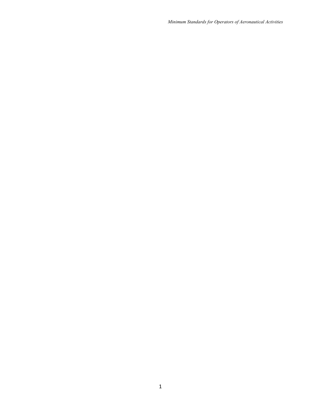*Minimum Standards for Operators of Aeronautical Activities*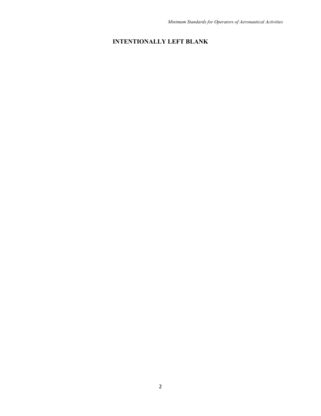## **INTENTIONALLY LEFT BLANK**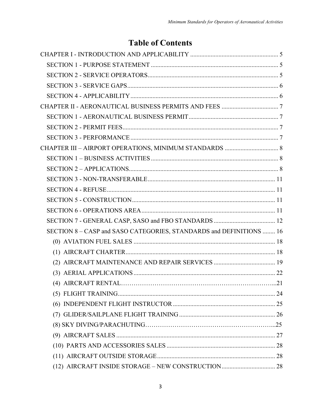# **Table of Contents**

| SECTION 8 - CASP and SASO CATEGORIES, STANDARDS and DEFINITIONS  16 |  |
|---------------------------------------------------------------------|--|
|                                                                     |  |
|                                                                     |  |
|                                                                     |  |
|                                                                     |  |
|                                                                     |  |
|                                                                     |  |
|                                                                     |  |
|                                                                     |  |
|                                                                     |  |
|                                                                     |  |
|                                                                     |  |
|                                                                     |  |
| (12) AIRCRAFT INSIDE STORAGE - NEW CONSTRUCTION 28                  |  |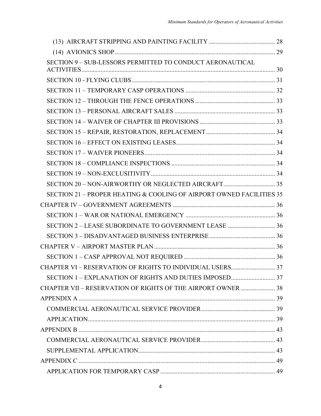| SECTION 9 - SUB-LESSORS PERMITTED TO CONDUCT AERONAUTICAL            |  |
|----------------------------------------------------------------------|--|
|                                                                      |  |
|                                                                      |  |
|                                                                      |  |
|                                                                      |  |
|                                                                      |  |
|                                                                      |  |
|                                                                      |  |
|                                                                      |  |
|                                                                      |  |
|                                                                      |  |
|                                                                      |  |
| SECTION 21 - PROPER HEATING & COOLING OF AIRPORT OWNED FACILITIES 35 |  |
|                                                                      |  |
|                                                                      |  |
| SECTION 2 - LEASE SUBORDINATE TO GOVERNMENT LEASE  36                |  |
|                                                                      |  |
|                                                                      |  |
|                                                                      |  |
|                                                                      |  |
|                                                                      |  |
| CHAPTER VII – RESERVATION OF RIGHTS OF THE AIRPORT OWNER  38         |  |
|                                                                      |  |
|                                                                      |  |
|                                                                      |  |
|                                                                      |  |
|                                                                      |  |
|                                                                      |  |
|                                                                      |  |
|                                                                      |  |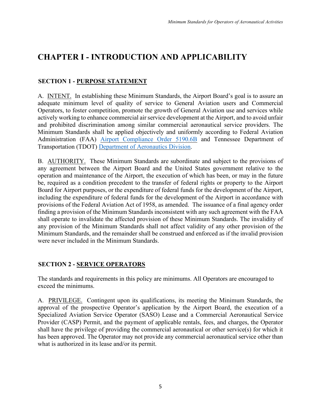# <span id="page-5-0"></span>**CHAPTER I - INTRODUCTION AND APPLICABILITY**

### <span id="page-5-1"></span>**SECTION 1 - PURPOSE STATEMENT**

A. INTENT. In establishing these Minimum Standards, the Airport Board's goal is to assure an adequate minimum level of quality of service to General Aviation users and Commercial Operators, to foster competition, promote the growth of General Aviation use and services while actively working to enhance commercial air service development at the Airport, and to avoid unfair and prohibited discrimination among similar commercial aeronautical service providers. The Minimum Standards shall be applied objectively and uniformly according to Federal Aviation Administration (FAA) Airport [Compliance](https://www.faa.gov/airports/resources/publications/orders/compliance_5190_6/) Order 5190.6B and Tennessee Department of Transportation (TDOT) Department of [Aeronautics](https://www.tn.gov/tdot/aeronautics.html) Division.

B. AUTHORITY. These Minimum Standards are subordinate and subject to the provisions of any agreement between the Airport Board and the United States government relative to the operation and maintenance of the Airport, the execution of which has been, or may in the future be, required as a condition precedent to the transfer of federal rights or property to the Airport Board for Airport purposes, or the expenditure of federal funds for the development of the Airport, including the expenditure of federal funds for the development of the Airport in accordance with provisions of the Federal Aviation Act of 1958, as amended. The issuance of a final agency order finding a provision of the Minimum Standards inconsistent with any such agreement with the FAA shall operate to invalidate the affected provision of these Minimum Standards. The invalidity of any provision of the Minimum Standards shall not affect validity of any other provision of the Minimum Standards, and the remainder shall be construed and enforced as if the invalid provision were never included in the Minimum Standards.

### <span id="page-5-2"></span>**SECTION 2 - SERVICE OPERATORS**

The standards and requirements in this policy are minimums. All Operators are encouraged to exceed the minimums.

A. PRIVILEGE. Contingent upon its qualifications, its meeting the Minimum Standards, the approval of the prospective Operator's application by the Airport Board, the execution of a Specialized Aviation Service Operator (SASO) Lease and a Commercial Aeronautical Service Provider (CASP) Permit, and the payment of applicable rentals, fees, and charges, the Operator shall have the privilege of providing the commercial aeronautical or other service(s) for which it has been approved. The Operator may not provide any commercial aeronautical service other than what is authorized in its lease and/or its permit.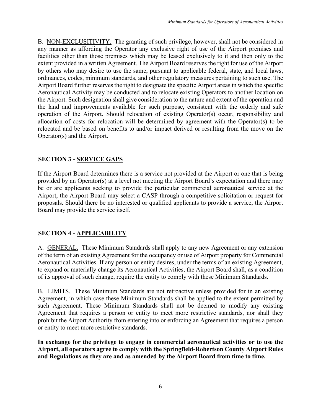B. NON-EXCLUSITIVITY. The granting of such privilege, however, shall not be considered in any manner as affording the Operator any exclusive right of use of the Airport premises and facilities other than those premises which may be leased exclusively to it and then only to the extent provided in a written Agreement. The Airport Board reserves the right for use of the Airport by others who may desire to use the same, pursuant to applicable federal, state, and local laws, ordinances, codes, minimum standards, and other regulatory measures pertaining to such use. The Airport Board further reserves the right to designate the specific Airport areas in which the specific Aeronautical Activity may be conducted and to relocate existing Operators to another location on the Airport. Such designation shall give consideration to the nature and extent of the operation and the land and improvements available for such purpose, consistent with the orderly and safe operation of the Airport. Should relocation of existing Operator(s) occur, responsibility and allocation of costs for relocation will be determined by agreement with the Operator(s) to be relocated and be based on benefits to and/or impact derived or resulting from the move on the Operator(s) and the Airport.

### <span id="page-6-0"></span>**SECTION 3 - SERVICE GAPS**

If the Airport Board determines there is a service not provided at the Airport or one that is being provided by an Operator(s) at a level not meeting the Airport Board's expectation and there may be or are applicants seeking to provide the particular commercial aeronautical service at the Airport, the Airport Board may select a CASP through a competitive solicitation or request for proposals. Should there be no interested or qualified applicants to provide a service, the Airport Board may provide the service itself.

### <span id="page-6-1"></span>**SECTION 4 - APPLICABILITY**

A. GENERAL. These Minimum Standards shall apply to any new Agreement or any extension of the term of an existing Agreement for the occupancy or use of Airport property for Commercial Aeronautical Activities. If any person or entity desires, under the terms of an existing Agreement, to expand or materially change its Aeronautical Activities, the Airport Board shall, as a condition of its approval of such change, require the entity to comply with these Minimum Standards.

B. LIMITS. These Minimum Standards are not retroactive unless provided for in an existing Agreement, in which case these Minimum Standards shall be applied to the extent permitted by such Agreement. These Minimum Standards shall not be deemed to modify any existing Agreement that requires a person or entity to meet more restrictive standards, nor shall they prohibit the Airport Authority from entering into or enforcing an Agreement that requires a person or entity to meet more restrictive standards.

**In exchange for the privilege to engage in commercial aeronautical activities or to use the Airport, all operators agree to comply with the Springfield-Robertson County Airport Rules and Regulations as they are and as amended by the Airport Board from time to time.**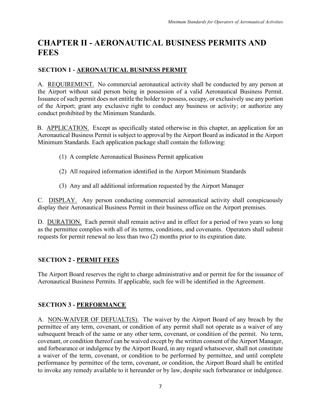# <span id="page-7-0"></span>**CHAPTER II - AERONAUTICAL BUSINESS PERMITS AND FEES**

## <span id="page-7-1"></span>**SECTION 1 - AERONAUTICAL BUSINESS PERMIT**

A. REQUIREMENT. No commercial aeronautical activity shall be conducted by any person at the Airport without said person being in possession of a valid Aeronautical Business Permit. Issuance of such permit does not entitle the holder to possess, occupy, or exclusively use any portion of the Airport; grant any exclusive right to conduct any business or activity; or authorize any conduct prohibited by the Minimum Standards.

B. APPLICATION. Except as specifically stated otherwise in this chapter, an application for an Aeronautical Business Permit is subject to approval by the Airport Board as indicated in the Airport Minimum Standards. Each application package shall contain the following:

- (1) A complete Aeronautical Business Permit application
- (2) All required information identified in the Airport Minimum Standards
- (3) Any and all additional information requested by the Airport Manager

C. DISPLAY. Any person conducting commercial aeronautical activity shall conspicuously display their Aeronautical Business Permit in their business office on the Airport premises.

D. DURATION. Each permit shall remain active and in effect for a period of two years so long as the permittee complies with all of its terms, conditions, and covenants. Operators shall submit requests for permit renewal no less than two (2) months prior to its expiration date.

### <span id="page-7-2"></span>**SECTION 2 - PERMIT FEES**

The Airport Board reserves the right to charge administrative and or permit fee for the issuance of Aeronautical Business Permits. If applicable, such fee will be identified in the Agreement.

## <span id="page-7-3"></span>**SECTION 3 - PERFORMANCE**

A. NON-WAIVER OF DEFUALT(S). The waiver by the Airport Board of any breach by the permittee of any term, covenant, or condition of any permit shall not operate as a waiver of any subsequent breach of the same or any other term, covenant, or condition of the permit. No term, covenant, or condition thereof can be waived except by the written consent of the Airport Manager, and forbearance or indulgence by the Airport Board, in any regard whatsoever, shall not constitute a waiver of the term, covenant, or condition to be performed by permittee, and until complete performance by permittee of the term, covenant, or condition, the Airport Board shall be entitled to invoke any remedy available to it hereunder or by law, despite such forbearance or indulgence.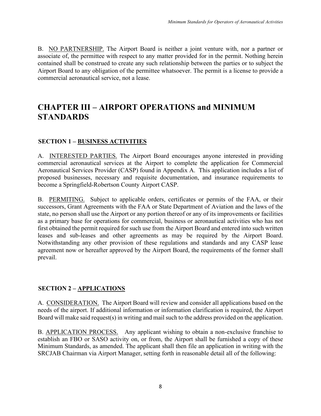B. NO PARTNERSHIP. The Airport Board is neither a joint venture with, nor a partner or associate of, the permittee with respect to any matter provided for in the permit. Nothing herein contained shall be construed to create any such relationship between the parties or to subject the Airport Board to any obligation of the permittee whatsoever. The permit is a license to provide a commercial aeronautical service, not a lease.

# <span id="page-8-0"></span>**CHAPTER III – AIRPORT OPERATIONS and MINIMUM STANDARDS**

## <span id="page-8-1"></span>**SECTION 1 – BUSINESS ACTIVITIES**

A. INTERESTED PARTIES. The Airport Board encourages anyone interested in providing commercial aeronautical services at the Airport to complete the application for Commercial Aeronautical Services Provider (CASP) found in Appendix A. This application includes a list of proposed businesses, necessary and requisite documentation, and insurance requirements to become a Springfield-Robertson County Airport CASP.

B. PERMITING. Subject to applicable orders, certificates or permits of the FAA, or their successors, Grant Agreements with the FAA or State Department of Aviation and the laws of the state, no person shall use the Airport or any portion thereof or any of its improvements or facilities as a primary base for operations for commercial, business or aeronautical activities who has not first obtained the permit required for such use from the Airport Board and entered into such written leases and sub-leases and other agreements as may be required by the Airport Board. Notwithstanding any other provision of these regulations and standards and any CASP lease agreement now or hereafter approved by the Airport Board, the requirements of the former shall prevail.

## <span id="page-8-2"></span>**SECTION 2 – APPLICATIONS**

A. CONSIDERATION. The Airport Board will review and consider all applications based on the needs of the airport. If additional information or information clarification is required, the Airport Board will make said request(s) in writing and mail such to the address provided on the application.

B. APPLICATION PROCESS. Any applicant wishing to obtain a non-exclusive franchise to establish an FBO or SASO activity on, or from, the Airport shall be furnished a copy of these Minimum Standards, as amended. The applicant shall then file an application in writing with the SRCJAB Chairman via Airport Manager, setting forth in reasonable detail all of the following: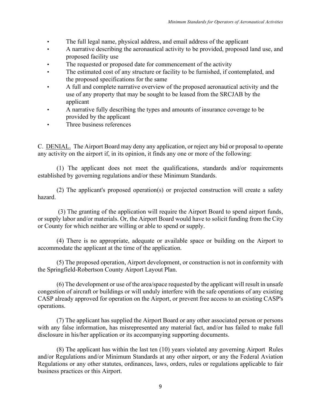- The full legal name, physical address, and email address of the applicant
- A narrative describing the aeronautical activity to be provided, proposed land use, and proposed facility use
- The requested or proposed date for commencement of the activity
- The estimated cost of any structure or facility to be furnished, if contemplated, and the proposed specifications for the same
- A full and complete narrative overview of the proposed aeronautical activity and the use of any property that may be sought to be leased from the SRCJAB by the applicant
- A narrative fully describing the types and amounts of insurance coverage to be provided by the applicant
- Three business references

C. DENIAL. The Airport Board may deny any application, or reject any bid or proposal to operate any activity on the airport if, in its opinion, it finds any one or more of the following:

(1) The applicant does not meet the qualifications, standards and/or requirements established by governing regulations and/or these Minimum Standards.

(2) The applicant's proposed operation(s) or projected construction will create a safety hazard.

(3) The granting of the application will require the Airport Board to spend airport funds, or supply labor and/or materials. Or, the Airport Board would have to solicit funding from the City or County for which neither are willing or able to spend or supply.

(4) There is no appropriate, adequate or available space or building on the Airport to accommodate the applicant at the time of the application.

(5) The proposed operation, Airport development, or construction is not in conformity with the Springfield-Robertson County Airport Layout Plan.

(6) The development or use of the area/space requested by the applicant will result in unsafe congestion of aircraft or buildings or will unduly interfere with the safe operations of any existing CASP already approved for operation on the Airport, or prevent free access to an existing CASP's operations.

(7) The applicant has supplied the Airport Board or any other associated person or persons with any false information, has misrepresented any material fact, and/or has failed to make full disclosure in his/her application or its accompanying supporting documents.

(8) The applicant has within the last ten (10) years violated any governing Airport Rules and/or Regulations and/or Minimum Standards at any other airport, or any the Federal Aviation Regulations or any other statutes, ordinances, laws, orders, rules or regulations applicable to fair business practices or this Airport.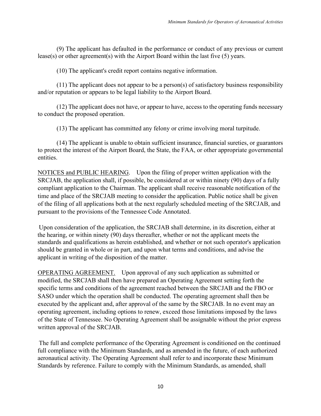(9) The applicant has defaulted in the performance or conduct of any previous or current lease(s) or other agreement(s) with the Airport Board within the last five (5) years.

(10) The applicant's credit report contains negative information.

(11) The applicant does not appear to be a person(s) of satisfactory business responsibility and/or reputation or appears to be legal liability to the Airport Board.

(12) The applicant does not have, or appear to have, access to the operating funds necessary to conduct the proposed operation.

(13) The applicant has committed any felony or crime involving moral turpitude.

(14) The applicant is unable to obtain sufficient insurance, financial sureties, or guarantors to protect the interest of the Airport Board, the State, the FAA, or other appropriate governmental entities.

NOTICES and PUBLIC HEARING. Upon the filing of proper written application with the SRCJAB, the application shall, if possible, be considered at or within ninety (90) days of a fully compliant application to the Chairman. The applicant shall receive reasonable notification of the time and place of the SRCJAB meeting to consider the application. Public notice shall be given of the filing of all applications both at the next regularly scheduled meeting of the SRCJAB, and pursuant to the provisions of the Tennessee Code Annotated.

Upon consideration of the application, the SRCJAB shall determine, in its discretion, either at the hearing, or within ninety (90) days thereafter, whether or not the applicant meets the standards and qualifications as herein established, and whether or not such operator's application should be granted in whole or in part, and upon what terms and conditions, and advise the applicant in writing of the disposition of the matter.

OPERATING AGREEMENT. Upon approval of any such application as submitted or modified, the SRCJAB shall then have prepared an Operating Agreement setting forth the specific terms and conditions of the agreement reached between the SRCJAB and the FBO or SASO under which the operation shall be conducted. The operating agreement shall then be executed by the applicant and, after approval of the same by the SRCJAB. In no event may an operating agreement, including options to renew, exceed those limitations imposed by the laws of the State of Tennessee. No Operating Agreement shall be assignable without the prior express written approval of the SRCJAB.

The full and complete performance of the Operating Agreement is conditioned on the continued full compliance with the Minimum Standards, and as amended in the future, of each authorized aeronautical activity. The Operating Agreement shall refer to and incorporate these Minimum Standards by reference. Failure to comply with the Minimum Standards, as amended, shall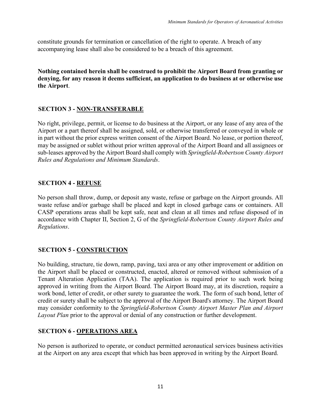constitute grounds for termination or cancellation of the right to operate. A breach of any accompanying lease shall also be considered to be a breach of this agreement.

**Nothing contained herein shall be construed to prohibit the Airport Board from granting or denying, for any reason it deems sufficient, an application to do business at or otherwise use the Airport**.

### <span id="page-11-0"></span>**SECTION 3 - NON-TRANSFERABLE**

No right, privilege, permit, or license to do business at the Airport, or any lease of any area of the Airport or a part thereof shall be assigned, sold, or otherwise transferred or conveyed in whole or in part without the prior express written consent of the Airport Board. No lease, or portion thereof, may be assigned or sublet without prior written approval of the Airport Board and all assignees or sub-leases approved by the Airport Board shall comply with *Springfield-Robertson County Airport Rules and Regulations and Minimum Standards*.

### <span id="page-11-1"></span>**SECTION 4 - REFUSE**

No person shall throw, dump, or deposit any waste, refuse or garbage on the Airport grounds. All waste refuse and/or garbage shall be placed and kept in closed garbage cans or containers. All CASP operations areas shall be kept safe, neat and clean at all times and refuse disposed of in accordance with Chapter II, Section 2, G of the *Springfield-Robertson County Airport Rules and Regulations*.

### <span id="page-11-2"></span>**SECTION 5 - CONSTRUCTION**

No building, structure, tie down, ramp, paving, taxi area or any other improvement or addition on the Airport shall be placed or constructed, enacted, altered or removed without submission of a Tenant Alteration Application (TAA). The application is required prior to such work being approved in writing from the Airport Board. The Airport Board may, at its discretion, require a work bond, letter of credit, or other surety to guarantee the work. The form of such bond, letter of credit or surety shall be subject to the approval of the Airport Board's attorney. The Airport Board may consider conformity to the *Springfield-Robertson County Airport Master Plan and Airport Layout Plan* prior to the approval or denial of any construction or further development.

### <span id="page-11-3"></span>**SECTION 6 - OPERATIONS AREA**

No person is authorized to operate, or conduct permitted aeronautical services business activities at the Airport on any area except that which has been approved in writing by the Airport Board.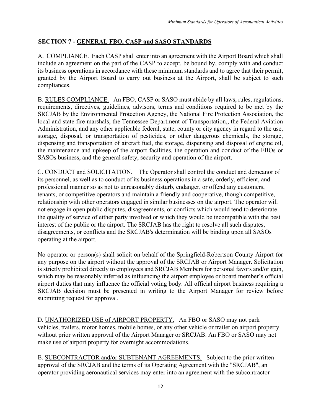## <span id="page-12-0"></span>**SECTION 7 - GENERAL FBO, CASP and SASO STANDARDS**

A. COMPLIANCE. Each CASP shall enter into an agreement with the Airport Board which shall include an agreement on the part of the CASP to accept, be bound by, comply with and conduct its business operations in accordance with these minimum standards and to agree that their permit, granted by the Airport Board to carry out business at the Airport, shall be subject to such compliances.

B. RULES COMPLIANCE. An FBO, CASP or SASO must abide by all laws, rules, regulations, requirements, directives, guidelines, advisors, terms and conditions required to be met by the SRCJAB by the Environmental Protection Agency, the National Fire Protection Association, the local and state fire marshals, the Tennessee Department of Transportation,, the Federal Aviation Administration, and any other applicable federal, state, county or city agency in regard to the use, storage, disposal, or transportation of pesticides, or other dangerous chemicals, the storage, dispensing and transportation of aircraft fuel, the storage, dispensing and disposal of engine oil, the maintenance and upkeep of the airport facilities, the operation and conduct of the FBOs or SASOs business, and the general safety, security and operation of the airport.

C. CONDUCT and SOLICITATION. The Operator shall control the conduct and demeanor of its personnel, as well as to conduct of its business operations in a safe, orderly, efficient, and professional manner so as not to unreasonably disturb, endanger, or offend any customers, tenants, or competitive operators and maintain a friendly and cooperative, though competitive, relationship with other operators engaged in similar businesses on the airport. The operator will not engage in open public disputes, disagreements, or conflicts which would tend to deteriorate the quality of service of either party involved or which they would be incompatible with the best interest of the public or the airport. The SRCJAB has the right to resolve all such disputes, disagreements, or conflicts and the SRCJAB's determination will be binding upon all SASOs operating at the airport.

No operator or person(s) shall solicit on behalf of the Springfield-Robertson County Airport for any purpose on the airport without the approval of the SRCJAB or Airport Manager. Solicitation is strictly prohibited directly to employees and SRCJAB Members for personal favors and/or gain, which may be reasonably inferred as influencing the airport employee or board member's official airport duties that may influence the official voting body. All official airport business requiring a SRCJAB decision must be presented in writing to the Airport Manager for review before submitting request for approval.

D. UNATHORIZED USE of AIRPORT PROPERTY. An FBO or SASO may not park vehicles, trailers, motor homes, mobile homes, or any other vehicle or trailer on airport property without prior written approval of the Airport Manager or SRCJAB. An FBO or SASO may not make use of airport property for overnight accommodations.

E. SUBCONTRACTOR and/or SUBTENANT AGREEMENTS. Subject to the prior written approval of the SRCJAB and the terms of its Operating Agreement with the "SRCJAB", an operator providing aeronautical services may enter into an agreement with the subcontractor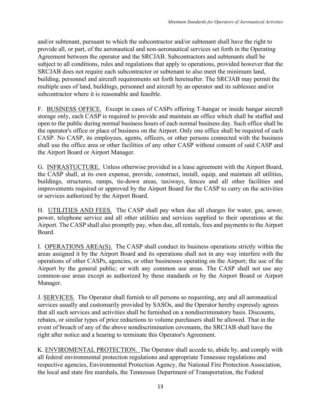and/or subtenant, pursuant to which the subcontractor and/or subtenant shall have the right to provide all, or part, of the aeronautical and non-aeronautical services set forth in the Operating Agreement between the operator and the SRCJAB. Subcontractors and subtenants shall be subject to all conditions, rules and regulations that apply to operations, provided however that the SRCJAB does not require each subcontractor or subtenant to also meet the minimum land, building, personnel and aircraft requirements set forth hereinafter. The SRCJAB may permit the multiple uses of land, buildings, personnel and aircraft by an operator and its sublessee and/or subcontractor where it is reasonable and feasible.

F. BUSINESS OFFICE. Except in cases of CASPs offering T-hangar or inside hangar aircraft storage only, each CASP is required to provide and maintain an office which shall be staffed and open to the public during normal business hours of each normal business day. Such office shall be the operator's office or place of business on the Airport. Only one office shall be required of each CASP. No CASP, its employees, agents, officers, or other persons connected with the business shall use the office area or other facilities of any other CASP without consent of said CASP and the Airport Board or Airport Manager.

G. INFRASTUCTURE. Unless otherwise provided in a lease agreement with the Airport Board, the CASP shall, at its own expense, provide, construct, install, equip, and maintain all utilities, buildings, structures, ramps, tie-down areas, taxiways, fences and all other facilities and improvements required or approved by the Airport Board for the CASP to carry on the activities or services authorized by the Airport Board.

H. UTILITIES AND FEES. The CASP shall pay when due all charges for water, gas, sewer, power, telephone service and all other utilities and services supplied to their operations at the Airport. The CASP shall also promptly pay, when due, all rentals, fees and payments to the Airport Board.

I. OPERATIONS AREA(S). The CASP shall conduct its business operations strictly within the areas assigned it by the Airport Board and its operations shall not in any way interfere with the operations of other CASPs, agencies, or other businesses operating on the Airport; the use of the Airport by the general public; or with any common use areas. The CASP shall not use any common-use areas except as authorized by these standards or by the Airport Board or Airport Manager.

J. SERVICES. The Operator shall furnish to all persons so requesting, any and all aeronautical services usually and customarily provided by SASOs, and the Operator hereby expressly agrees that all such services and activities shall be furnished on a nondiscriminatory basis. Discounts, rebates, or similar types of price reductions to volume purchasers shall be allowed. That in the event of breach of any of the above nondiscrimination covenants, the SRCJAB shall have the right after notice and a hearing to terminate this Operator's Agreement.

K. ENVIROMENTAL PROTECTION. The Operator shall accede to, abide by, and comply with all federal environmental protection regulations and appropriate Tennessee regulations and respective agencies, Environmental Protection Agency, the National Fire Protection Association, the local and state fire marshals, the Tennessee Department of Transportation, the Federal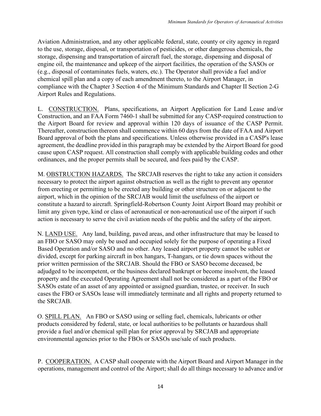Aviation Administration, and any other applicable federal, state, county or city agency in regard to the use, storage, disposal, or transportation of pesticides, or other dangerous chemicals, the storage, dispensing and transportation of aircraft fuel, the storage, dispensing and disposal of engine oil, the maintenance and upkeep of the airport facilities, the operation of the SASOs or (e.g., disposal of contaminates fuels, waters, etc.). The Operator shall provide a fuel and/or chemical spill plan and a copy of each amendment thereto, to the Airport Manager, in compliance with the Chapter 3 Section 4 of the Minimum Standards and Chapter II Section 2-G Airport Rules and Regulations.

L. CONSTRUCTION. Plans, specifications, an Airport Application for Land Lease and/or Construction, and an FAA Form 7460-1 shall be submitted for any CASP-required construction to the Airport Board for review and approval within 120 days of issuance of the CASP Permit. Thereafter, construction thereon shall commence within 60 days from the date of FAA and Airport Board approval of both the plans and specifications. Unless otherwise provided in a CASP's lease agreement, the deadline provided in this paragraph may be extended by the Airport Board for good cause upon CASP request. All construction shall comply with applicable building codes and other ordinances, and the proper permits shall be secured, and fees paid by the CASP.

M. OBSTRUCTION HAZARDS. The SRCJAB reserves the right to take any action it considers necessary to protect the airport against obstruction as well as the right to prevent any operator from erecting or permitting to be erected any building or other structure on or adjacent to the airport, which in the opinion of the SRCJAB would limit the usefulness of the airport or constitute a hazard to aircraft. Springfield-Robertson County Joint Airport Board may prohibit or limit any given type, kind or class of aeronautical or non-aeronautical use of the airport if such action is necessary to serve the civil aviation needs of the public and the safety of the airport.

N. LAND USE. Any land, building, paved areas, and other infrastructure that may be leased to an FBO or SASO may only be used and occupied solely for the purpose of operating a Fixed Based Operation and/or SASO and no other. Any leased airport property cannot be sublet or divided, except for parking aircraft in box hangars, T-hangars, or tie down spaces without the prior written permission of the SRCJAB. Should the FBO or SASO become deceased, be adjudged to be incompetent, or the business declared bankrupt or become insolvent, the leased property and the executed Operating Agreement shall not be considered as a part of the FBO or SASOs estate of an asset of any appointed or assigned guardian, trustee, or receiver. In such cases the FBO or SASOs lease will immediately terminate and all rights and property returned to the SRCJAB.

O. SPILL PLAN. An FBO or SASO using or selling fuel, chemicals, lubricants or other products considered by federal, state, or local authorities to be pollutants or hazardous shall provide a fuel and/or chemical spill plan for prior approval by SRCJAB and appropriate environmental agencies prior to the FBOs or SASOs use/sale of such products.

P. COOPERATION. A CASP shall cooperate with the Airport Board and Airport Manager in the operations, management and control of the Airport; shall do all things necessary to advance and/or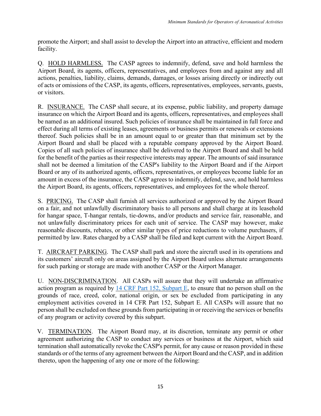promote the Airport; and shall assist to develop the Airport into an attractive, efficient and modern facility.

Q. HOLD HARMLESS. The CASP agrees to indemnify, defend, save and hold harmless the Airport Board, its agents, officers, representatives, and employees from and against any and all actions, penalties, liability, claims, demands, damages, or losses arising directly or indirectly out of acts or omissions of the CASP, its agents, officers, representatives, employees, servants, guests, or visitors.

R. INSURANCE. The CASP shall secure, at its expense, public liability, and property damage insurance on which the Airport Board and its agents, officers, representatives, and employees shall be named as an additional insured. Such policies of insurance shall be maintained in full force and effect during all terms of existing leases, agreements or business permits or renewals or extensions thereof. Such policies shall be in an amount equal to or greater than that minimum set by the Airport Board and shall be placed with a reputable company approved by the Airport Board. Copies of all such policies of insurance shall be delivered to the Airport Board and shall be held for the benefit of the parties as their respective interests may appear. The amounts of said insurance shall not be deemed a limitation of the CASP's liability to the Airport Board and if the Airport Board or any of its authorized agents, officers, representatives, or employees become liable for an amount in excess of the insurance, the CASP agrees to indemnify, defend, save, and hold harmless the Airport Board, its agents, officers, representatives, and employees for the whole thereof.

S. PRICING. The CASP shall furnish all services authorized or approved by the Airport Board on a fair, and not unlawfully discriminatory basis to all persons and shall charge at its leasehold for hangar space, T-hangar rentals, tie-downs, and/or products and service fair, reasonable, and not unlawfully discriminatory prices for each unit of service. The CASP may however, make reasonable discounts, rebates, or other similar types of price reductions to volume purchasers, if permitted by law. Rates charged by a CASP shall be filed and kept current with the Airport Board.

T. AIRCRAFT PARKING. The CASP shall park and store the aircraft used in its operations and its customers' aircraft only on areas assigned by the Airport Board unless alternate arrangements for such parking or storage are made with another CASP or the Airport Manager.

U. NON-DISCRIMINATION. All CASPs will assure that they will undertake an affirmative action program as required by  $14$  CRF Part 152, [Subpart](https://www.govinfo.gov/content/pkg/CFR-1999-title14-vol3/pdf/CFR-1999-title14-vol3-part152-subpartE.pdf) E, to ensure that no person shall on the grounds of race, creed, color, national origin, or sex be excluded from participating in any employment activities covered in 14 CFR Part 152, Subpart E. All CASPs will assure that no person shall be excluded on these grounds from participating in or receiving the services or benefits of any program or activity covered by this subpart.

V. TERMINATION. The Airport Board may, at its discretion, terminate any permit or other agreement authorizing the CASP to conduct any services or business at the Airport, which said termination shall automatically revoke the CASP's permit, for any cause or reason provided in these standards or of the terms of any agreement between the Airport Board and theCASP, and in addition thereto, upon the happening of any one or more of the following: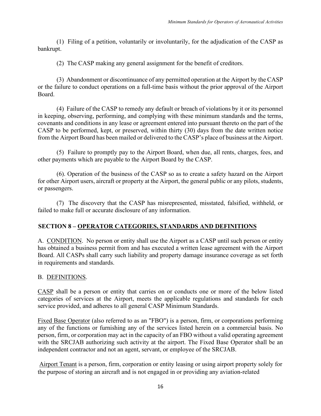(1) Filing of a petition, voluntarily or involuntarily, for the adjudication of the CASP as bankrupt.

(2) The CASP making any general assignment for the benefit of creditors.

(3) Abandonment or discontinuance of any permitted operation at the Airport by the CASP or the failure to conduct operations on a full-time basis without the prior approval of the Airport Board.

(4) Failure of the CASP to remedy any default or breach of violations by it or its personnel in keeping, observing, performing, and complying with these minimum standards and the terms, covenants and conditions in any lease or agreement entered into pursuant thereto on the part of the CASP to be performed, kept, or preserved, within thirty (30) days from the date written notice from the Airport Board has been mailed or delivered to the CASP's place of business at the Airport.

(5) Failure to promptly pay to the Airport Board, when due, all rents, charges, fees, and other payments which are payable to the Airport Board by the CASP.

(6). Operation of the business of the CASP so as to create a safety hazard on the Airport for other Airport users, aircraft or property at the Airport, the general public or any pilots, students, or passengers.

(7) The discovery that the CASP has misrepresented, misstated, falsified, withheld, or failed to make full or accurate disclosure of any information.

### <span id="page-16-0"></span>**SECTION 8 – OPERATOR CATEGORIES, STANDARDS AND DEFINITIONS**

A. CONDITION. No person or entity shall use the Airport as a CASP until such person or entity has obtained a business permit from and has executed a written lease agreement with the Airport Board. All CASPs shall carry such liability and property damage insurance coverage as set forth in requirements and standards.

### B. DEFINITIONS.

CASP shall be a person or entity that carries on or conducts one or more of the below listed categories of services at the Airport, meets the applicable regulations and standards for each service provided, and adheres to all general CASP Minimum Standards.

Fixed Base Operator (also referred to as an "FBO") is a person, firm, or corporations performing any of the functions or furnishing any of the services listed herein on a commercial basis. No person, firm, or corporation may act in the capacity of an FBO without a valid operating agreement with the SRCJAB authorizing such activity at the airport. The Fixed Base Operator shall be an independent contractor and not an agent, servant, or employee of the SRCJAB.

Airport Tenant is a person, firm, corporation or entity leasing or using airport property solely for the purpose of storing an aircraft and is not engaged in or providing any aviation-related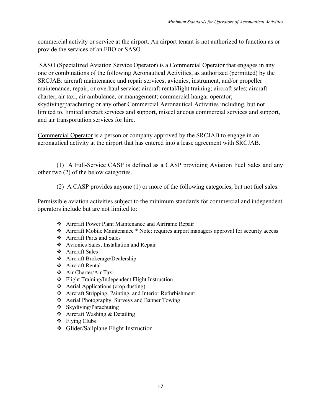commercial activity or service at the airport. An airport tenant is not authorized to function as or provide the services of an FBO or SASO.

SASO (Specialized Aviation Service Operator) is a Commercial Operator that engages in any one or combinations of the following Aeronautical Activities, as authorized (permitted) by the SRCJAB: aircraft maintenance and repair services; avionics, instrument, and/or propeller maintenance, repair, or overhaul service; aircraft rental/light training; aircraft sales; aircraft charter, air taxi, air ambulance, or management; commercial hangar operator; skydiving/parachuting or any other Commercial Aeronautical Activities including, but not limited to, limited aircraft services and support, miscellaneous commercial services and support, and air transportation services for hire.

Commercial Operator is a person or company approved by the SRCJAB to engage in an aeronautical activity at the airport that has entered into a lease agreement with SRCJAB.

(1) A Full-Service CASP is defined as a CASP providing Aviation Fuel Sales and any other two (2) of the below categories.

(2) A CASP provides anyone (1) or more of the following categories, but not fuel sales.

Permissible aviation activities subject to the minimum standards for commercial and independent operators include but are not limited to:

- Aircraft Power Plant Maintenance and Airframe Repair
- Aircraft Mobile Maintenance \* Note: requires airport managers approval for security access
- Aircraft Parts and Sales
- Avionics Sales, Installation and Repair
- Aircraft Sales
- Aircraft Brokerage/Dealership
- ❖ Aircraft Rental
- Air Charter/Air Taxi
- Flight Training/Independent Flight Instruction
- Aerial Applications (crop dusting)
- Aircraft Stripping, Painting, and Interior Refurbishment
- Aerial Photography, Surveys and Banner Towing
- Skydiving/Parachuting
- Aircraft Washing & Detailing
- Flying Clubs
- Glider/Sailplane Flight Instruction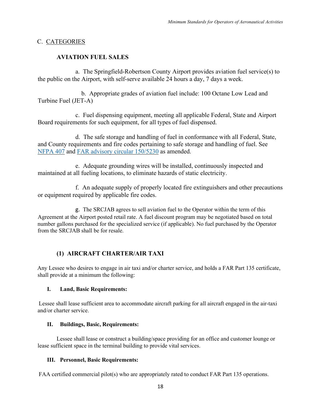### <span id="page-18-0"></span>C. CATEGORIES

### **AVIATION FUEL SALES**

a. The Springfield-Robertson County Airport provides aviation fuel service(s) to the public on the Airport, with self-serve available 24 hours a day, 7 days a week.

b. Appropriate grades of aviation fuel include: 100 Octane Low Lead and Turbine Fuel (JET-A)

c. Fuel dispensing equipment, meeting all applicable Federal, State and Airport Board requirements for such equipment, for all types of fuel dispensed.

d. The safe storage and handling of fuel in conformance with all Federal, State, and County requirements and fire codes pertaining to safe storage and handling of fuel. See [NFPA](https://www.nfpa.org/codes-and-standards/all-codes-and-standards/list-of-codes-and-standards/detail?code=407) 407 and FAR advisory circular [150/5230](https://www.faa.gov/airports/resources/advisory_circulars/index.cfm/go/document.current/documentnumber/150_5230-4) as amended.

e. Adequate grounding wires will be installed, continuously inspected and maintained at all fueling locations, to eliminate hazards of static electricity.

f. An adequate supply of properly located fire extinguishers and other precautions or equipment required by applicable fire codes.

g. The SRCJAB agrees to sell aviation fuel to the Operator within the term of this Agreement at the Airport posted retail rate. A fuel discount program may be negotiated based on total number gallons purchased for the specialized service (if applicable). No fuel purchased by the Operator from the SRCJAB shall be for resale.

### **(1) AIRCRAFT CHARTER/AIR TAXI**

<span id="page-18-1"></span>Any Lessee who desires to engage in air taxi and/or charter service, and holds a FAR Part 135 certificate, shall provide at a minimum the following:

#### **I. Land, Basic Requirements:**

Lessee shall lease sufficient area to accommodate aircraft parking for all aircraft engaged in the air-taxi and/or charter service.

#### **II. Buildings, Basic, Requirements:**

Lessee shall lease or construct a building/space providing for an office and customer lounge or lease sufficient space in the terminal building to provide vital services.

#### **III. Personnel, Basic Requirements:**

FAA certified commercial pilot(s) who are appropriately rated to conduct FAR Part 135 operations.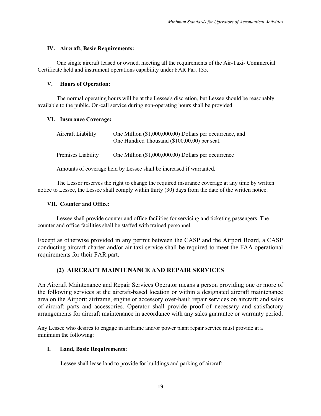#### **IV. Aircraft, Basic Requirements:**

One single aircraft leased or owned, meeting all the requirements of the Air-Taxi- Commercial Certificate held and instrument operations capability under FAR Part 135.

#### **V. Hours of Operation:**

The normal operating hours will be at the Lessee's discretion, but Lessee should be reasonably available to the public. On-call service during non-operating hours shall be provided.

#### **VI. Insurance Coverage:**

| Aircraft Liability | One Million (\$1,000,000.00) Dollars per occurrence, and<br>One Hundred Thousand (\$100,00.00) per seat. |
|--------------------|----------------------------------------------------------------------------------------------------------|
| Premises Liability | One Million (\$1,000,000.00) Dollars per occurrence                                                      |

Amounts of coverage held by Lessee shall be increased if warranted.

The Lessor reserves the right to change the required insurance coverage at any time by written notice to Lessee, the Lessee shall comply within thirty (30) days from the date of the written notice.

#### **VII. Counter and Office:**

Lessee shall provide counter and office facilities for servicing and ticketing passengers. The counter and office facilities shall be staffed with trained personnel.

Except as otherwise provided in any permit between the CASP and the Airport Board, a CASP conducting aircraft charter and/or air taxi service shall be required to meet the FAA operational requirements for their FAR part.

### **(2) AIRCRAFT MAINTENANCE AND REPAIR SERVICES**

<span id="page-19-0"></span>An Aircraft Maintenance and Repair Services Operator means a person providing one or more of the following services at the aircraft-based location or within a designated aircraft maintenance area on the Airport: airframe, engine or accessory over-haul; repair services on aircraft; and sales of aircraft parts and accessories. Operator shall provide proof of necessary and satisfactory arrangements for aircraft maintenance in accordance with any sales guarantee or warranty period.

Any Lessee who desires to engage in airframe and/or power plant repair service must provide at a minimum the following:

#### **I. Land, Basic Requirements:**

Lessee shall lease land to provide for buildings and parking of aircraft.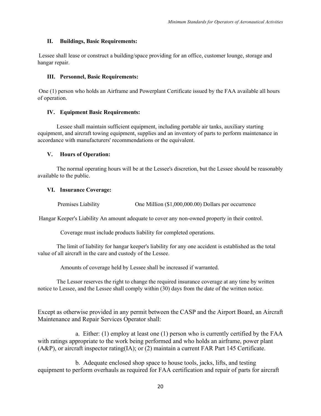#### **II. Buildings, Basic Requirements:**

Lessee shall lease or construct a building/space providing for an office, customer lounge, storage and hangar repair.

#### **III. Personnel, Basic Requirements:**

One (1) person who holds an Airframe and Powerplant Certificate issued by the FAA available all hours of operation.

#### **IV. Equipment Basic Requirements:**

Lessee shall maintain sufficient equipment, including portable air tanks, auxiliary starting equipment, and aircraft towing equipment, supplies and an inventory of parts to perform maintenance in accordance with manufacturers' recommendations or the equivalent.

#### **V. Hours of Operation:**

The normal operating hours will be at the Lessee's discretion, but the Lessee should be reasonably available to the public.

#### **VI. Insurance Coverage:**

Premises Liability One Million (\$1,000,000.00) Dollars per occurrence

Hangar Keeper's Liability An amount adequate to cover any non-owned property in their control.

Coverage must include products liability for completed operations.

The limit of liability for hangar keeper's liability for any one accident is established as the total value of all aircraft in the care and custody of the Lessee.

Amounts of coverage held by Lessee shall be increased if warranted.

The Lessor reserves the right to change the required insurance coverage at any time by written notice to Lessee, and the Lessee shall comply within (30) days from the date of the written notice.

Except as otherwise provided in any permit between the CASP and the Airport Board, an Aircraft Maintenance and Repair Services Operator shall:

a. Either: (1) employ at least one (1) person who is currently certified by the FAA with ratings appropriate to the work being performed and who holds an airframe, power plant (A&P), or aircraft inspector rating(IA); or (2) maintain a current FAR Part 145 Certificate.

b. Adequate enclosed shop space to house tools, jacks, lifts, and testing equipment to perform overhauls as required for FAA certification and repair of parts for aircraft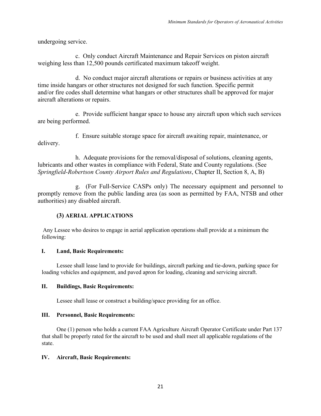undergoing service.

c. Only conduct Aircraft Maintenance and Repair Services on piston aircraft weighing less than 12,500 pounds certificated maximum takeoff weight.

d. No conduct major aircraft alterations or repairs or business activities at any time inside hangars or other structures not designed for such function. Specific permit and/or fire codes shall determine what hangars or other structures shall be approved for major aircraft alterations or repairs.

e. Provide sufficient hangar space to house any aircraft upon which such services are being performed.

f. Ensure suitable storage space for aircraft awaiting repair, maintenance, or delivery.

h. Adequate provisions for the removal/disposal of solutions, cleaning agents, lubricants and other wastes in compliance with Federal, State and County regulations. (See *Springfield-Robertson County Airport Rules and Regulations*, Chapter II, Section 8, A, B)

g. (For Full-Service CASPs only) The necessary equipment and personnel to promptly remove from the public landing area (as soon as permitted by FAA, NTSB and other authorities) any disabled aircraft.

### **(3) AERIAL APPLICATIONS**

Any Lessee who desires to engage in aerial application operations shall provide at a minimum the following:

### **I. Land, Basic Requirements:**

Lessee shall lease land to provide for buildings, aircraft parking and tie-down, parking space for loading vehicles and equipment, and paved apron for loading, cleaning and servicing aircraft.

### **II. Buildings, Basic Requirements:**

Lessee shall lease or construct a building/space providing for an office.

### **III. Personnel, Basic Requirements:**

One (1) person who holds a current FAA Agriculture Aircraft Operator Certificate under Part 137 that shall be properly rated for the aircraft to be used and shall meet all applicable regulations of the state.

### **IV. Aircraft, Basic Requirements:**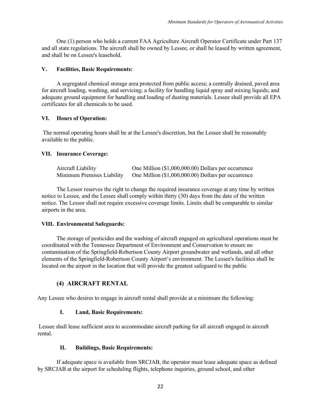One (1) person who holds a current FAA Agriculture Aircraft Operator Certificate under Part 137 and all state regulations. The aircraft shall be owned by Lessee, or shall be leased by written agreement, and shall be on Lessee's leasehold.

#### **V. Facilities, Basic Requirements:**

A segregated chemical storage area protected from public access; a centrally drained, paved area for aircraft loading, washing, and servicing; a facility for handling liquid spray and mixing liquids; and adequate ground equipment for handling and loading of dusting materials. Lessee shall provide all EPA certificates for all chemicals to be used.

#### **VI. Hours of Operation:**

The normal operating hours shall be at the Lessee's discretion, but the Lessee shall be reasonably available to the public.

#### **VII. Insurance Coverage:**

| Aircraft Liability         | One Million (\$1,000,000.00) Dollars per occurrence |
|----------------------------|-----------------------------------------------------|
| Minimum Premises Liability | One Million (\$1,000,000.00) Dollars per occurrence |

The Lessor reserves the right to change the required insurance coverage at any time by written notice to Lessee, and the Lessee shall comply within thirty (30) days from the date of the written notice. The Lessor shall not require excessive coverage limits. Limits shall be comparable to similar airports in the area.

#### **VIII. Environmental Safeguards:**

The storage of pesticides and the washing of aircraft engaged on agricultural operations must be coordinated with the Tennessee Department of Environment and Conservation to ensure no contamination of the Springfield-Robertson County Airport groundwater and wetlands, and all other elements of the Springfield-Robertson County Airport's environment. The Lessee's facilities shall be located on the airport in the location that will provide the greatest safeguard to the public

### **(4) AIRCRAFT RENTAL**

<span id="page-22-0"></span>Any Lessee who desires to engage in aircraft rental shall provide at a minimum the following:

#### **I. Land, Basic Requirements:**

Lessee shall lease sufficient area to accommodate aircraft parking for all aircraft engaged in aircraft rental.

#### **II. Buildings, Basic Requirements:**

If adequate space is available from SRCJAB, the operator must lease adequate space as defined by SRCJAB at the airport for scheduling flights, telephone inquiries, ground school, and other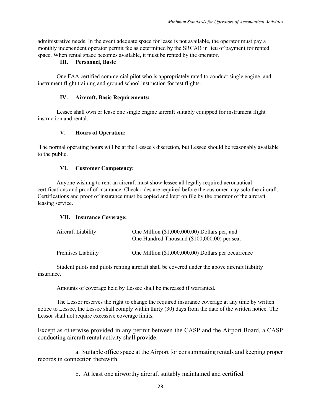administrative needs. In the event adequate space for lease is not available, the operator must pay a monthly independent operator permit fee as determined by the SRCAB in lieu of payment for rented space. When rental space becomes available, it must be rented by the operator.

### **III. Personnel, Basic**

One FAA certified commercial pilot who is appropriately rated to conduct single engine, and instrument flight training and ground school instruction for test flights.

#### **IV. Aircraft, Basic Requirements:**

Lessee shall own or lease one single engine aircraft suitably equipped for instrument flight instruction and rental.

#### **V. Hours of Operation:**

The normal operating hours will be at the Lessee's discretion, but Lessee should be reasonably available to the public.

#### **VI. Customer Competency:**

Anyone wishing to rent an aircraft must show lessee all legally required aeronautical certifications and proof of insurance. Check rides are required before the customer may solo the aircraft. Certifications and proof of insurance must be copied and kept on file by the operator of the aircraft leasing service.

#### **VII. Insurance Coverage:**

| Aircraft Liability | One Million $(\$1,000,000.00)$ Dollars per, and<br>One Hundred Thousand (\$100,000.00) per seat |  |
|--------------------|-------------------------------------------------------------------------------------------------|--|
| Premises Liability | One Million (\$1,000,000.00) Dollars per occurrence                                             |  |

Student pilots and pilots renting aircraft shall be covered under the above aircraft liability insurance.

Amounts of coverage held by Lessee shall be increased if warranted.

The Lessor reserves the right to change the required insurance coverage at any time by written notice to Lessee, the Lessee shall comply within thirty (30) days from the date of the written notice. The Lessor shall not require excessive coverage limits.

Except as otherwise provided in any permit between the CASP and the Airport Board, a CASP conducting aircraft rental activity shall provide:

a. Suitable office space at the Airport for consummating rentals and keeping proper records in connection therewith.

b. At least one airworthy aircraft suitably maintained and certified.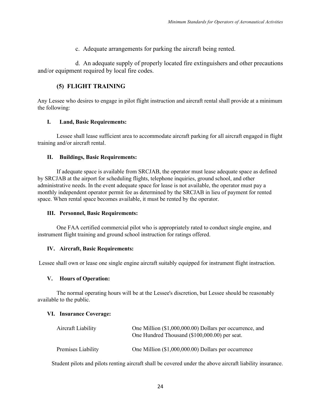c. Adequate arrangements for parking the aircraft being rented.

d. An adequate supply of properly located fire extinguishers and other precautions and/or equipment required by local fire codes.

### **(5) FLIGHT TRAINING**

<span id="page-24-0"></span>Any Lessee who desires to engage in pilot flight instruction and aircraft rental shall provide at a minimum the following:

#### **I. Land, Basic Requirements:**

Lessee shall lease sufficient area to accommodate aircraft parking for all aircraft engaged in flight training and/or aircraft rental.

#### **II. Buildings, Basic Requirements:**

If adequate space is available from SRCJAB, the operator must lease adequate space as defined by SRCJAB at the airport for scheduling flights, telephone inquiries, ground school, and other administrative needs. In the event adequate space for lease is not available, the operator must pay a monthly independent operator permit fee as determined by the SRCJAB in lieu of payment for rented space. When rental space becomes available, it must be rented by the operator.

#### **III. Personnel, Basic Requirements:**

One FAA certified commercial pilot who is appropriately rated to conduct single engine, and instrument flight training and ground school instruction for ratings offered.

#### **IV. Aircraft, Basic Requirements:**

Lessee shall own or lease one single engine aircraft suitably equipped for instrument flight instruction.

#### **V. Hours of Operation:**

The normal operating hours will be at the Lessee's discretion, but Lessee should be reasonably available to the public.

#### **VI. Insurance Coverage:**

| Aircraft Liability | One Million (\$1,000,000.00) Dollars per occurrence, and<br>One Hundred Thousand (\$100,000.00) per seat. |
|--------------------|-----------------------------------------------------------------------------------------------------------|
| Premises Liability | One Million (\$1,000,000.00) Dollars per occurrence                                                       |

Student pilots and pilots renting aircraft shall be covered under the above aircraft liability insurance.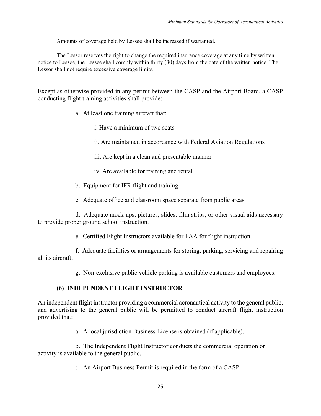Amounts of coverage held by Lessee shall be increased if warranted.

The Lessor reserves the right to change the required insurance coverage at any time by written notice to Lessee, the Lessee shall comply within thirty (30) days from the date of the written notice. The Lessor shall not require excessive coverage limits.

Except as otherwise provided in any permit between the CASP and the Airport Board, a CASP conducting flight training activities shall provide:

- a. At least one training aircraft that:
	- i. Have a minimum of two seats
	- ii. Are maintained in accordance with Federal Aviation Regulations
	- iii. Are kept in a clean and presentable manner
	- iv. Are available for training and rental
- b. Equipment for IFR flight and training.
- c. Adequate office and classroom space separate from public areas.

d. Adequate mock-ups, pictures, slides, film strips, or other visual aids necessary to provide proper ground school instruction.

e. Certified Flight Instructors available for FAA for flight instruction.

f. Adequate facilities or arrangements for storing, parking, servicing and repairing all its aircraft.

g. Non-exclusive public vehicle parking is available customers and employees.

#### **(6) INDEPENDENT FLIGHT INSTRUCTOR**

<span id="page-25-0"></span>An independent flight instructor providing a commercial aeronautical activity to the general public, and advertising to the general public will be permitted to conduct aircraft flight instruction provided that:

a. A local jurisdiction Business License is obtained (if applicable).

b. The Independent Flight Instructor conducts the commercial operation or activity is available to the general public.

c. An Airport Business Permit is required in the form of a CASP.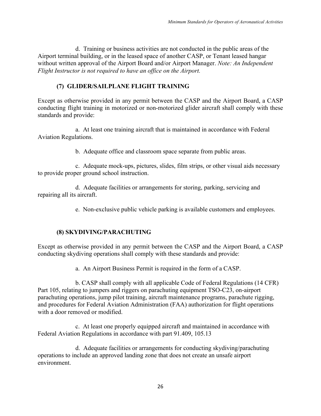d. Training or business activities are not conducted in the public areas of the Airport terminal building, or in the leased space of another CASP, or Tenant leased hangar without written approval of the Airport Board and/or Airport Manager. *Note: An Independent Flight Instructor is not required to have an office on the Airport.*

### **(7) GLIDER/SAILPLANE FLIGHT TRAINING**

<span id="page-26-0"></span>Except as otherwise provided in any permit between the CASP and the Airport Board, a CASP conducting flight training in motorized or non-motorized glider aircraft shall comply with these standards and provide:

a. At least one training aircraft that is maintained in accordance with Federal Aviation Regulations.

b. Adequate office and classroom space separate from public areas.

c. Adequate mock-ups, pictures, slides, film strips, or other visual aids necessary to provide proper ground school instruction.

d. Adequate facilities or arrangements for storing, parking, servicing and repairing all its aircraft.

e. Non-exclusive public vehicle parking is available customers and employees.

## **(8) SKYDIVING/PARACHUTING**

Except as otherwise provided in any permit between the CASP and the Airport Board, a CASP conducting skydiving operations shall comply with these standards and provide:

a. An Airport Business Permit is required in the form of a CASP.

b. CASP shall comply with all applicable Code of Federal Regulations (14 CFR) Part 105, relating to jumpers and riggers on parachuting equipment TSO-C23, on-airport parachuting operations, jump pilot training, aircraft maintenance programs, parachute rigging, and procedures for Federal Aviation Administration (FAA) authorization for flight operations with a door removed or modified.

c. At least one properly equipped aircraft and maintained in accordance with Federal Aviation Regulations in accordance with part 91.409, 105.13

d. Adequate facilities or arrangements for conducting skydiving/parachuting operations to include an approved landing zone that does not create an unsafe airport environment.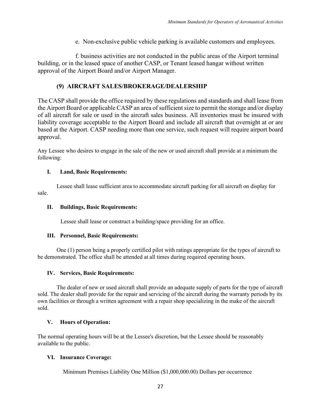e. Non-exclusive public vehicle parking is available customers and employees.

f. business activities are not conducted in the public areas of the Airport terminal building, or in the leased space of another CASP, or Tenant leased hangar without written approval of the Airport Board and/or Airport Manager.

#### **(9) AIRCRAFT SALES/BROKERAGE/DEALERSHIP**

<span id="page-27-0"></span>The CASP shall provide the office required by these regulations and standards and shall lease from the Airport Board or applicable CASP an area of sufficient size to permit the storage and/or display of all aircraft for sale or used in the aircraft sales business. All inventories must be insured with liability coverage acceptable to the Airport Board and include all aircraft that overnight at or are based at the Airport. CASP needing more than one service, such request will require airport board approval.

Any Lessee who desires to engage in the sale of the new or used aircraft shall provide at a minimum the following:

#### **I. Land, Basic Requirements:**

Lessee shall lease sufficient area to accommodate aircraft parking for all aircraft on display for sale.

#### **II. Buildings, Basic Requirements:**

Lessee shall lease or construct a building/space providing for an office.

#### **III. Personnel, Basic Requirements:**

One (1) person being a properly certified pilot with ratings appropriate for the types of aircraft to be demonstrated. The office shall be attended at all times during required operating hours.

#### **IV. Services, Basic Requirements:**

The dealer of new or used aircraft shall provide an adequate supply of parts for the type of aircraft sold. The dealer shall provide for the repair and servicing of the aircraft during the warranty periods by its own facilities or through a written agreement with a repair shop specializing in the make of the aircraft sold.

#### **V. Hours of Operation:**

The normal operating hours will be at the Lessee's discretion, but the Lessee should be reasonably available to the public.

#### **VI. Insurance Coverage:**

Minimum Premises Liability One Million (\$1,000,000.00) Dollars per occurrence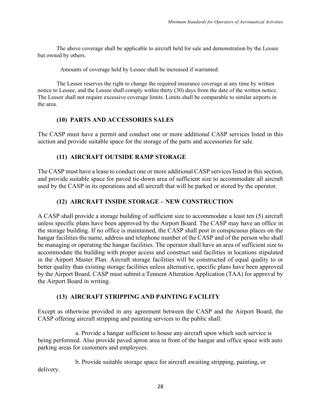The above coverage shall be applicable to aircraft held for sale and demonstration by the Lessee but owned by others.

Amounts of coverage held by Lessee shall be increased if warranted.

The Lessor reserves the right to change the required insurance coverage at any time by written notice to Lessee, and the Lessee shall comply within thirty (30) days from the date of the written notice. The Lessor shall not require excessive coverage limits. Limits shall be comparable to similar airports in the area.

#### **(10) PARTS AND ACCESSORIES SALES**

<span id="page-28-0"></span>The CASP must have a permit and conduct one or more additional CASP services listed in this section and provide suitable space for the storage of the parts and accessories for sale.

### **(11) AIRCRAFT OUTSIDE RAMP STORAGE**

<span id="page-28-1"></span>The CASP must have a lease to conduct one or more additional CASP services listed in this section, and provide suitable space for paved tie-down area of sufficient size to accommodate all aircraft used by the CASP in its operations and all aircraft that will be parked or stored by the operator.

### **(12) AIRCRAFT INSIDE STORAGE – NEW CONSTRUCTION**

<span id="page-28-2"></span>A CASP shall provide a storage building of sufficient size to accommodate a least ten (5) aircraft unless specific plans have been approved by the Airport Board. The CASP may have an office in the storage building. If no office is maintained, the CASP shall post in conspicuous places on the hangar facilities the name, address and telephone number of the CASP and of the person who shall be managing or operating the hangar facilities. The operator shall have an area of sufficient size to accommodate the building with proper access and construct said facilities in locations stipulated in the Airport Master Plan. Aircraft storage facilities will be constructed of equal quality to or better quality than existing storage facilities unless alternative, specific plans have been approved by the Airport Board. CASP must submit a Tennent Alteration Application (TAA) for approval by the Airport Board in writing.

#### **(13) AIRCRAFT STRIPPING AND PAINTING FACILITY**

<span id="page-28-3"></span>Except as otherwise provided in any agreement between the CASP and the Airport Board, the CASP offering aircraft stripping and painting services to the public shall:

a. Provide a hangar sufficient to house any aircraft upon which such service is being performed. Also provide paved apron area in front of the hangar and office space with auto parking areas for customers and employees.

b. Provide suitable storage space for aircraft awaiting stripping, painting, or delivery.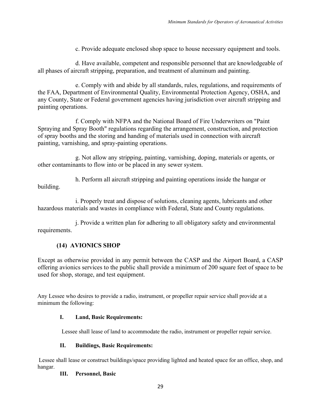c. Provide adequate enclosed shop space to house necessary equipment and tools.

d. Have available, competent and responsible personnel that are knowledgeable of all phases of aircraft stripping, preparation, and treatment of aluminum and painting.

e. Comply with and abide by all standards, rules, regulations, and requirements of the FAA, Department of Environmental Quality, Environmental Protection Agency, OSHA, and any County, State or Federal government agencies having jurisdiction over aircraft stripping and painting operations.

f. Comply with NFPA and the National Board of Fire Underwriters on "Paint Spraying and Spray Booth" regulations regarding the arrangement, construction, and protection of spray booths and the storing and handing of materials used in connection with aircraft painting, varnishing, and spray-painting operations.

g. Not allow any stripping, painting, varnishing, doping, materials or agents, or other contaminants to flow into or be placed in any sewer system.

h. Perform all aircraft stripping and painting operations inside the hangar or building.

i. Properly treat and dispose of solutions, cleaning agents, lubricants and other hazardous materials and wastes in compliance with Federal, State and County regulations.

j. Provide a written plan for adhering to all obligatory safety and environmental requirements.

### **(14) AVIONICS SHOP**

<span id="page-29-0"></span>Except as otherwise provided in any permit between the CASP and the Airport Board, a CASP offering avionics services to the public shall provide a minimum of 200 square feet of space to be used for shop, storage, and test equipment.

Any Lessee who desires to provide a radio, instrument, or propeller repair service shall provide at a minimum the following:

#### **I. Land, Basic Requirements:**

Lessee shall lease of land to accommodate the radio, instrument or propeller repair service.

#### **II. Buildings, Basic Requirements:**

Lessee shall lease or construct buildings/space providing lighted and heated space for an office, shop, and hangar.

#### **III. Personnel, Basic**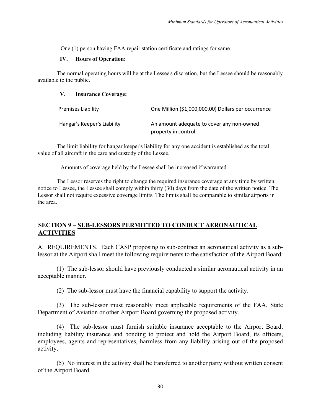One (1) person having FAA repair station certificate and ratings for same.

#### **IV. Hours of Operation:**

**V. Insurance Coverage:** 

The normal operating hours will be at the Lessee's discretion, but the Lessee should be reasonably available to the public.

| $\cdots$ $\cdots$           |                                                                   |
|-----------------------------|-------------------------------------------------------------------|
| Premises Liability          | One Million (\$1,000,000.00) Dollars per occurrence               |
| Hangar's Keeper's Liability | An amount adequate to cover any non-owned<br>property in control. |

The limit liability for hangar keeper's liability for any one accident is established as the total value of all aircraft in the care and custody of the Lessee.

Amounts of coverage held by the Lessee shall be increased if warranted.

The Lessor reserves the right to change the required insurance coverage at any time by written notice to Lessee, the Lessee shall comply within thirty (30) days from the date of the written notice. The Lessor shall not require excessive coverage limits. The limits shall be comparable to similar airports in the area.

### <span id="page-30-0"></span>**SECTION 9 – SUB-LESSORS PERMITTED TO CONDUCT AERONAUTICAL ACTIVITIES**

A. REQUIREMENTS. Each CASP proposing to sub-contract an aeronautical activity as a sublessor at the Airport shall meet the following requirements to the satisfaction of the Airport Board:

(1) The sub-lessor should have previously conducted a similar aeronautical activity in an acceptable manner.

(2) The sub-lessor must have the financial capability to support the activity.

(3) The sub-lessor must reasonably meet applicable requirements of the FAA, State Department of Aviation or other Airport Board governing the proposed activity.

(4) The sub-lessor must furnish suitable insurance acceptable to the Airport Board, including liability insurance and bonding to protect and hold the Airport Board, its officers, employees, agents and representatives, harmless from any liability arising out of the proposed activity.

(5) No interest in the activity shall be transferred to another party without written consent of the Airport Board.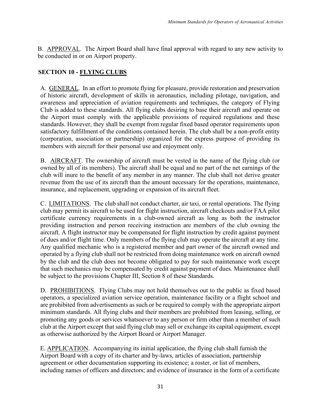B. APPROVAL. The Airport Board shall have final approval with regard to any new activity to be conducted in or on Airport property.

### <span id="page-31-0"></span>**SECTION 10 - FLYING CLUBS**

A. GENERAL. In an effort to promote flying for pleasure, provide restoration and preservation of historic aircraft, development of skills in aeronautics, including pilotage, navigation, and awareness and appreciation of aviation requirements and techniques, the category of Flying Club is added to these standards. All flying clubs desiring to base their aircraft and operate on the Airport must comply with the applicable provisions of required regulations and these standards. However, they shall be exempt from regular fixed based operator requirements upon satisfactory fulfillment of the conditions contained herein. The club shall be a non-profit entity (corporation, association or partnership) organized for the express purpose of providing its members with aircraft for their personal use and enjoyment only.

B. AIRCRAFT. The ownership of aircraft must be vested in the name of the flying club (or owned by all of its members). The aircraft shall be equal and no part of the net earnings of the club will inure to the benefit of any member in any manner. The club shall not derive greater revenue from the use of its aircraft than the amount necessary for the operations, maintenance, insurance, and replacement, upgrading or expansion of its aircraft fleet.

C. LIMITATIONS. The club shall not conduct charter, air taxi, or rental operations. The flying club may permit its aircraft to be used for flight instruction, aircraft checkouts and/or FAA pilot certificate currency requirements in a club-owned aircraft as long as both the instructor providing instruction and person receiving instruction are members of the club owning the aircraft. A flight instructor may be compensated for flight instruction by credit against payment of dues and/or flight time. Only members of the flying club may operate the aircraft at any time. Any qualified mechanic who is a registered member and part owner of the aircraft owned and operated by a flying club shall not be restricted from doing maintenance work on aircraft owned by the club and the club does not become obligated to pay for such maintenance work except that such mechanics may be compensated by credit against payment of dues. Maintenance shall be subject to the provisions Chapter III, Section 8 of these Standards.

D. PROHIBITIONS. Flying Clubs may not hold themselves out to the public as fixed based operators, a specialized aviation service operation, maintenance facility or a flight school and are prohibited from advertisements as such or be required to comply with the appropriate airport minimum standards. All flying clubs and their members are prohibited from leasing, selling, or promoting any goods or services whatsoever to any person or firm other than a member of such club at the Airport except that said flying club may sell or exchange its capital equipment, except as otherwise authorized by the Airport Board or Airport Manager.

E. APPLICATION. Accompanying its initial application, the flying club shall furnish the Airport Board with a copy of its charter and by-laws, articles of association, partnership agreement or other documentation supporting its existence; a roster, or list of members, including names of officers and directors; and evidence of insurance in the form of a certificate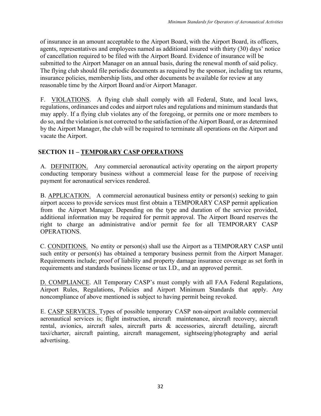of insurance in an amount acceptable to the Airport Board, with the Airport Board, its officers, agents, representatives and employees named as additional insured with thirty (30) days' notice of cancellation required to be filed with the Airport Board. Evidence of insurance will be submitted to the Airport Manager on an annual basis, during the renewal month of said policy. The flying club should file periodic documents as required by the sponsor, including tax returns, insurance policies, membership lists, and other documents be available for review at any reasonable time by the Airport Board and/or Airport Manager.

F. VIOLATIONS. A flying club shall comply with all Federal, State, and local laws, regulations, ordinances and codes and airport rules and regulations and minimum standards that may apply. If a flying club violates any of the foregoing, or permits one or more members to do so, and the violation is not corrected to the satisfaction of the Airport Board, or as determined by the Airport Manager, the club will be required to terminate all operations on the Airport and vacate the Airport.

## <span id="page-32-0"></span>**SECTION 11 – TEMPORARY CASP OPERATIONS**

A. DEFINITION. Any commercial aeronautical activity operating on the airport property conducting temporary business without a commercial lease for the purpose of receiving payment for aeronautical services rendered.

B. APPLICATION. A commercial aeronautical business entity or person(s) seeking to gain airport access to provide services must first obtain a TEMPORARY CASP permit application from the Airport Manager. Depending on the type and duration of the service provided, additional information may be required for permit approval. The Airport Board reserves the right to charge an administrative and/or permit fee for all TEMPORARY CASP OPERATIONS.

C. CONDITIONS. No entity or person(s) shall use the Airport as a TEMPORARY CASP until such entity or person(s) has obtained a temporary business permit from the Airport Manager. Requirements include; proof of liability and property damage insurance coverage as set forth in requirements and standards business license or tax I.D., and an approved permit.

D. COMPLIANCE. All Temporary CASP's must comply with all FAA Federal Regulations, Airport Rules, Regulations, Policies and Airport Minimum Standards that apply. Any noncompliance of above mentioned is subject to having permit being revoked.

E. CASP SERVICES. Types of possible temporary CASP non-airport available commercial aeronautical services is; flight instruction, aircraft maintenance, aircraft recovery, aircraft rental, avionics, aircraft sales, aircraft parts & accessories, aircraft detailing, aircraft taxi/charter, aircraft painting, aircraft management, sightseeing/photography and aerial advertising.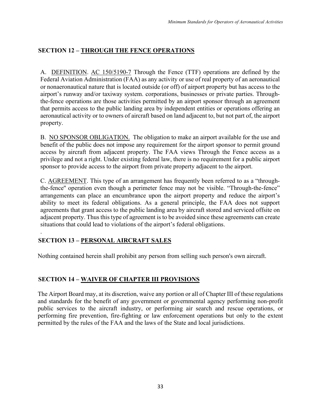## <span id="page-33-0"></span>**SECTION 12 – THROUGH THE FENCE OPERATIONS**

A. DEFINITION. AC 150/5190-7 Through the Fence (TTF) operations are defined by the Federal Aviation Administration (FAA) as any activity or use of real property of an aeronautical or nonaeronautical nature that is located outside (or off) of airport property but has access to the airport's runway and/or taxiway system. corporations, businesses or private parties. Throughthe-fence operations are those activities permitted by an airport sponsor through an agreement that permits access to the public landing area by independent entities or operations offering an aeronautical activity or to owners of aircraft based on land adjacent to, but not part of, the airport property.

B. NO SPONSOR OBLIGATION. The obligation to make an airport available for the use and benefit of the public does not impose any requirement for the airport sponsor to permit ground access by aircraft from adjacent property. The FAA views Through the Fence access as a privilege and not a right. Under existing federal law, there is no requirement for a public airport sponsor to provide access to the airport from private property adjacent to the airport.

C. AGREEMENT. This type of an arrangement has frequently been referred to as a "throughthe-fence'' operation even though a perimeter fence may not be visible. "Through-the-fence" arrangements can place an encumbrance upon the airport property and reduce the airport's ability to meet its federal obligations. As a general principle, the FAA does not support agreements that grant access to the public landing area by aircraft stored and serviced offsite on adjacent property. Thus this type of agreement is to be avoided since these agreements can create situations that could lead to violations of the airport's federal obligations.

### <span id="page-33-1"></span>**SECTION 13 – PERSONAL AIRCRAFT SALES**

.

Nothing contained herein shall prohibit any person from selling such person's own aircraft.

### <span id="page-33-2"></span>**SECTION 14 – WAIVER OF CHAPTER III PROVISIONS**

The Airport Board may, at its discretion, waive any portion or all of Chapter III of these regulations and standards for the benefit of any government or governmental agency performing non-profit public services to the aircraft industry, or performing air search and rescue operations, or performing fire prevention, fire-fighting or law enforcement operations but only to the extent permitted by the rules of the FAA and the laws of the State and local jurisdictions.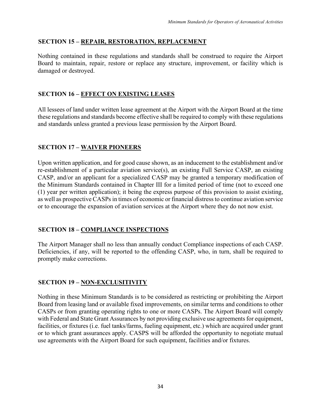### <span id="page-34-0"></span>**SECTION 15 – REPAIR, RESTORATION, REPLACEMENT**

Nothing contained in these regulations and standards shall be construed to require the Airport Board to maintain, repair, restore or replace any structure, improvement, or facility which is damaged or destroyed.

### <span id="page-34-1"></span>**SECTION 16 – EFFECT ON EXISTING LEASES**

All lessees of land under written lease agreement at the Airport with the Airport Board at the time these regulations and standards become effective shall be required to comply with these regulations and standards unless granted a previous lease permission by the Airport Board.

### <span id="page-34-2"></span>**SECTION 17 – WAIVER PIONEERS**

Upon written application, and for good cause shown, as an inducement to the establishment and/or re-establishment of a particular aviation service(s), an existing Full Service CASP, an existing CASP, and/or an applicant for a specialized CASP may be granted a temporary modification of the Minimum Standards contained in Chapter III for a limited period of time (not to exceed one (1) year per written application); it being the express purpose of this provision to assist existing, as well as prospective CASPs in times of economic or financial distress to continue aviation service or to encourage the expansion of aviation services at the Airport where they do not now exist.

### <span id="page-34-3"></span>**SECTION 18 – COMPLIANCE INSPECTIONS**

The Airport Manager shall no less than annually conduct Compliance inspections of each CASP. Deficiencies, if any, will be reported to the offending CASP, who, in turn, shall be required to promptly make corrections.

### <span id="page-34-4"></span>**SECTION 19 – NON-EXCLUSITIVITY**

Nothing in these Minimum Standards is to be considered as restricting or prohibiting the Airport Board from leasing land or available fixed improvements, on similar terms and conditions to other CASPs or from granting operating rights to one or more CASPs. The Airport Board will comply with Federal and State Grant Assurances by not providing exclusive use agreements for equipment, facilities, or fixtures (i.e. fuel tanks/farms, fueling equipment, etc.) which are acquired under grant or to which grant assurances apply. CASPS will be afforded the opportunity to negotiate mutual use agreements with the Airport Board for such equipment, facilities and/or fixtures.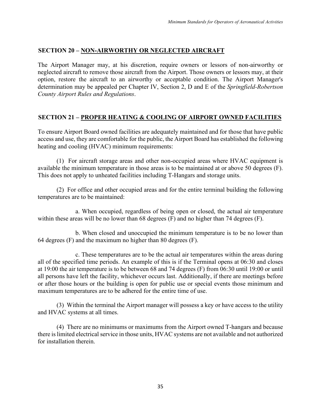### <span id="page-35-0"></span>**SECTION 20 – NON-AIRWORTHY OR NEGLECTED AIRCRAFT**

The Airport Manager may, at his discretion, require owners or lessors of non-airworthy or neglected aircraft to remove those aircraft from the Airport. Those owners or lessors may, at their option, restore the aircraft to an airworthy or acceptable condition. The Airport Manager's determination may be appealed per Chapter IV, Section 2, D and E of the *Springfield-Robertson County Airport Rules and Regulations*.

### <span id="page-35-1"></span>**SECTION 21 – PROPER HEATING & COOLING OF AIRPORT OWNED FACILITIES**

To ensure Airport Board owned facilities are adequately maintained and for those that have public access and use, they are comfortable for the public, the Airport Board has established the following heating and cooling (HVAC) minimum requirements:

(1) For aircraft storage areas and other non-occupied areas where HVAC equipment is available the minimum temperature in those areas is to be maintained at or above 50 degrees (F). This does not apply to unheated facilities including T-Hangars and storage units.

(2) For office and other occupied areas and for the entire terminal building the following temperatures are to be maintained:

a. When occupied, regardless of being open or closed, the actual air temperature within these areas will be no lower than 68 degrees (F) and no higher than 74 degrees (F).

b. When closed and unoccupied the minimum temperature is to be no lower than 64 degrees (F) and the maximum no higher than 80 degrees (F).

c. These temperatures are to be the actual air temperatures within the areas during all of the specified time periods. An example of this is if the Terminal opens at 06:30 and closes at 19:00 the air temperature is to be between 68 and 74 degrees (F) from 06:30 until 19:00 or until all persons have left the facility, whichever occurs last. Additionally, if there are meetings before or after those hours or the building is open for public use or special events those minimum and maximum temperatures are to be adhered for the entire time of use.

(3) Within the terminal the Airport manager will possess a key or have access to the utility and HVAC systems at all times.

(4) There are no minimums or maximums from the Airport owned T-hangars and because there islimited electrical service in those units, HVAC systems are not available and not authorized for installation therein.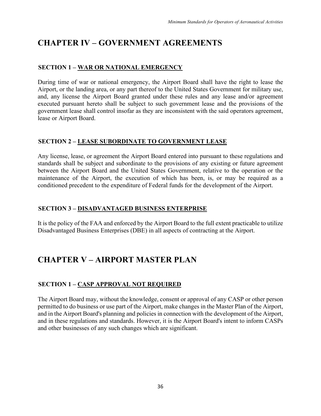# <span id="page-36-0"></span>**CHAPTER IV – GOVERNMENT AGREEMENTS**

## <span id="page-36-1"></span>**SECTION 1 – WAR OR NATIONAL EMERGENCY**

During time of war or national emergency, the Airport Board shall have the right to lease the Airport, or the landing area, or any part thereof to the United States Government for military use, and, any license the Airport Board granted under these rules and any lease and/or agreement executed pursuant hereto shall be subject to such government lease and the provisions of the government lease shall control insofar as they are inconsistent with the said operators agreement, lease or Airport Board.

### <span id="page-36-2"></span>**SECTION 2 – LEASE SUBORDINATE TO GOVERNMENT LEASE**

Any license, lease, or agreement the Airport Board entered into pursuant to these regulations and standards shall be subject and subordinate to the provisions of any existing or future agreement between the Airport Board and the United States Government, relative to the operation or the maintenance of the Airport, the execution of which has been, is, or may be required as a conditioned precedent to the expenditure of Federal funds for the development of the Airport.

### <span id="page-36-3"></span>**SECTION 3 – DISADVANTAGED BUSINESS ENTERPRISE**

It is the policy of the FAA and enforced by the Airport Board to the full extent practicable to utilize Disadvantaged Business Enterprises (DBE) in all aspects of contracting at the Airport.

# <span id="page-36-4"></span>**CHAPTER V – AIRPORT MASTER PLAN**

### <span id="page-36-5"></span>**SECTION 1 – CASP APPROVAL NOT REQUIRED**

The Airport Board may, without the knowledge, consent or approval of any CASP or other person permitted to do business or use part of the Airport, make changes in the Master Plan of the Airport, and in the Airport Board's planning and policies in connection with the development of the Airport, and in these regulations and standards. However, it is the Airport Board's intent to inform CASPs and other businesses of any such changes which are significant.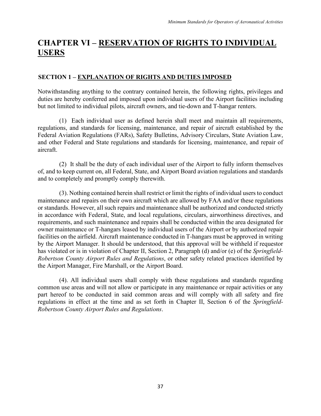# <span id="page-37-0"></span>**CHAPTER VI – RESERVATION OF RIGHTS TO INDIVIDUAL USERS**

### <span id="page-37-1"></span>**SECTION 1 – EXPLANATION OF RIGHTS AND DUTIES IMPOSED**

Notwithstanding anything to the contrary contained herein, the following rights, privileges and duties are hereby conferred and imposed upon individual users of the Airport facilities including but not limited to individual pilots, aircraft owners, and tie-down and T-hangar renters.

(1) Each individual user as defined herein shall meet and maintain all requirements, regulations, and standards for licensing, maintenance, and repair of aircraft established by the Federal Aviation Regulations (FARs), Safety Bulletins, Advisory Circulars, State Aviation Law, and other Federal and State regulations and standards for licensing, maintenance, and repair of aircraft.

(2) It shall be the duty of each individual user of the Airport to fully inform themselves of, and to keep current on, all Federal, State, and Airport Board aviation regulations and standards and to completely and promptly comply therewith.

(3). Nothing contained herein shall restrict or limit the rights of individual usersto conduct maintenance and repairs on their own aircraft which are allowed by FAA and/or these regulations or standards. However, all such repairs and maintenance shall be authorized and conducted strictly in accordance with Federal, State, and local regulations, circulars, airworthiness directives, and requirements, and such maintenance and repairs shall be conducted within the area designated for owner maintenance or T-hangars leased by individual users of the Airport or by authorized repair facilities on the airfield. Aircraft maintenance conducted in T-hangars must be approved in writing by the Airport Manager. It should be understood, that this approval will be withheld if requestor has violated or is in violation of Chapter II, Section 2, Paragraph (d) and/or (e) of the *Springfield-Robertson County Airport Rules and Regulations*, or other safety related practices identified by the Airport Manager, Fire Marshall, or the Airport Board.

(4). All individual users shall comply with these regulations and standards regarding common use areas and will not allow or participate in any maintenance or repair activities or any part hereof to be conducted in said common areas and will comply with all safety and fire regulations in effect at the time and as set forth in Chapter II, Section 6 of the *Springfield-Robertson County Airport Rules and Regulations*.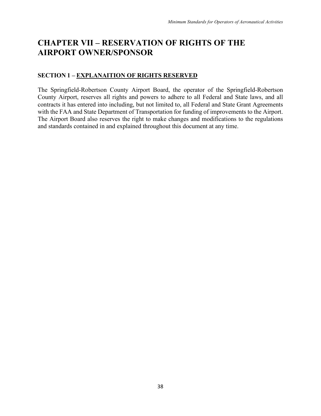# <span id="page-38-0"></span>**CHAPTER VII – RESERVATION OF RIGHTS OF THE AIRPORT OWNER/SPONSOR**

### **SECTION 1 – EXPLANAITION OF RIGHTS RESERVED**

The Springfield-Robertson County Airport Board, the operator of the Springfield-Robertson County Airport, reserves all rights and powers to adhere to all Federal and State laws, and all contracts it has entered into including, but not limited to, all Federal and State Grant Agreements with the FAA and State Department of Transportation for funding of improvements to the Airport. The Airport Board also reserves the right to make changes and modifications to the regulations and standards contained in and explained throughout this document at any time.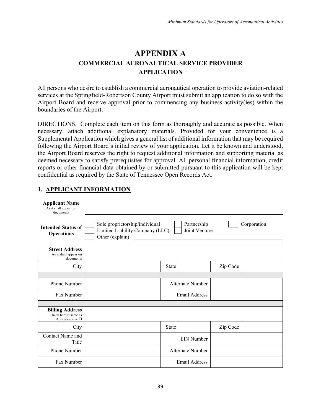# **APPENDIX A COMMERCIAL AERONAUTICAL SERVICE PROVIDER APPLICATION**

<span id="page-39-2"></span><span id="page-39-1"></span><span id="page-39-0"></span>All persons who desire to establish a commercial aeronautical operation to provide aviation-related services at the Springfield-Robertson County Airport must submit an application to do so with the Airport Board and receive approval prior to commencing any business activity(ies) within the boundaries of the Airport.

DIRECTIONS. Complete each item on this form as thoroughly and accurate as possible. When necessary, attach additional explanatory materials. Provided for your convenience is a Supplemental Application which gives a general list of additional information that may be required following the Airport Board's initial review of your application. Let it be known and understood, the Airport Board reserves the right to request additional information and supporting material as deemed necessary to satisfy prerequisites for approval. All personal financial information, credit reports or other financial data obtained by or submitted pursuant to this application will be kept confidential as required by the State of Tennessee Open Records Act.

### **1. APPLICANT INFORMATION**

| <b>Applicant Name</b><br>As it shall appear on<br>documents                |                                                                                      |              |                              |          |             |
|----------------------------------------------------------------------------|--------------------------------------------------------------------------------------|--------------|------------------------------|----------|-------------|
| <b>Intended Status of</b><br><b>Operations</b>                             | Sole proprietorship/individual<br>Limited Liability Company (LLC)<br>Other (explain) |              | Partnership<br>Joint Venture |          | Corporation |
| <b>Street Address</b><br>As it shall appear on<br>documents                |                                                                                      |              |                              |          |             |
| City                                                                       |                                                                                      | <b>State</b> |                              | Zip Code |             |
|                                                                            |                                                                                      |              |                              |          |             |
| <b>Phone Number</b>                                                        |                                                                                      |              | Alternate Number             |          |             |
| Fax Number                                                                 |                                                                                      |              | Email Address                |          |             |
|                                                                            |                                                                                      |              |                              |          |             |
| <b>Billing Address</b><br>Check here if same as<br>Address above $\square$ |                                                                                      |              |                              |          |             |
| City                                                                       |                                                                                      | <b>State</b> |                              | Zip Code |             |
| Contact Name and<br>Title                                                  |                                                                                      |              | <b>EIN Number</b>            |          |             |
| Phone Number                                                               |                                                                                      |              | Alternate Number             |          |             |
| Fax Number                                                                 |                                                                                      |              | Email Address                |          |             |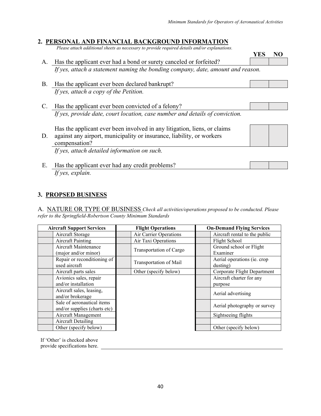### **2. PERSONAL AND FINANCIAL BACKGROUND INFORMATION**

*Please attach additional sheets as necessary to provide required details and/or explanations.*

| Has the applicant ever had a bond or surety canceled or forfeited?              |  |  |
|---------------------------------------------------------------------------------|--|--|
| If yes, attach a statement naming the bonding company, date, amount and reason. |  |  |

| B. Has the applicant ever been declared bankrupt? |  |  |  |
|---------------------------------------------------|--|--|--|
| If yes, attach a copy of the Petition.            |  |  |  |

C. Has the applicant ever been convicted of a felony? *If yes, provide date, court location, case number and details of conviction.*

Has the applicant ever been involved in any litigation, liens, or claims

D. against any airport, municipality or insurance, liability, or workers compensation?



**YES NO**

*If yes, attach detailed information on such.*

E. Has the applicant ever had any credit problems? *If yes, explain.*

### **3. PROPSED BUSINESS**

A. NATURE OR TYPE OF BUSINESS *Check all activities/operations proposed to be conducted. Please refer to the Springfield-Robertson County Minimum Standards*

| <b>Aircraft Support Services</b>                           | <b>Flight Operations</b> | <b>On-Demand Flying Services</b>        |  |
|------------------------------------------------------------|--------------------------|-----------------------------------------|--|
| Aircraft Storage                                           | Air Carrier Operations   | Aircraft rental to the public           |  |
| <b>Aircraft Painting</b>                                   | Air Taxi Operations      | Flight School                           |  |
| Aircraft Maintenance<br>(major and/or minor)               | Transportation of Cargo  | Ground school or Flight<br>Examiner     |  |
| Repair or reconditioning of<br>used aircraft               | Transportation of Mail   | Aerial operations (ie. crop<br>dusting) |  |
| Aircraft parts sales                                       | Other (specify below)    | Corporate Flight Department             |  |
| Avionics sales, repair<br>and/or installation              |                          | Aircraft charter for any<br>purpose     |  |
| Aircraft sales, leasing,<br>and/or brokerage               |                          | Aerial advertising                      |  |
| Sale of aeronautical items<br>and/or supplies (charts etc) |                          | Aerial photography or survey            |  |
| Aircraft Management                                        |                          | Sightseeing flights                     |  |
| <b>Aircraft Detailing</b>                                  |                          |                                         |  |
| Other (specify below)                                      |                          | Other (specify below)                   |  |

If 'Other' is checked above provide specifications here.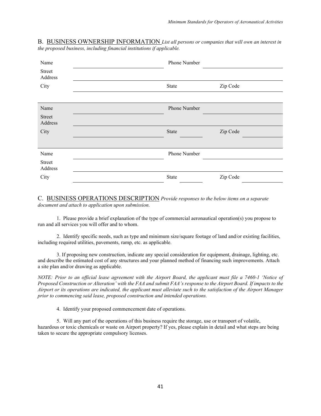B. BUSINESS OWNERSHIP INFORMATION *List all persons or companies that will own an interest in the proposed business, including financial institutions if applicable.*

| Name                     | Phone Number |          |
|--------------------------|--------------|----------|
| <b>Street</b><br>Address |              |          |
| City                     | State        | Zip Code |
|                          |              |          |
| Name                     | Phone Number |          |
| Street<br>Address        |              |          |
| City                     | State        | Zip Code |
|                          |              |          |
| Name                     | Phone Number |          |
| Street<br>Address        |              |          |
| City                     | State        | Zip Code |

C. BUSINESS OPERATIONS DESCRIPTION *Provide responses to the below items on a separate document and attach to application upon submission.*

1. Please provide a brief explanation of the type of commercial aeronautical operation(s) you propose to run and all services you will offer and to whom.

2. Identify specific needs, such as type and minimum size/square footage of land and/or existing facilities, including required utilities, pavements, ramp, etc. as applicable.

3. If proposing new construction, indicate any special consideration for equipment, drainage, lighting, etc. and describe the estimated cost of any structures and your planned method of financing such improvements. Attach a site plan and/or drawing as applicable.

*NOTE: Prior to an official lease agreement with the Airport Board, the applicant must file a 7460-1 'Notice of Proposed Construction or Alteration' with the FAA and submit FAA's response to the Airport Board. If impacts to the Airport or its operations are indicated, the applicant must alleviate such to the satisfaction of the Airport Manager prior to commencing said lease, proposed construction and intended operations.*

4. Identify your proposed commencement date of operations.

5. Will any part of the operations of this business require the storage, use or transport of volatile, hazardous or toxic chemicals or waste on Airport property? If yes, please explain in detail and what steps are being taken to secure the appropriate compulsory licenses.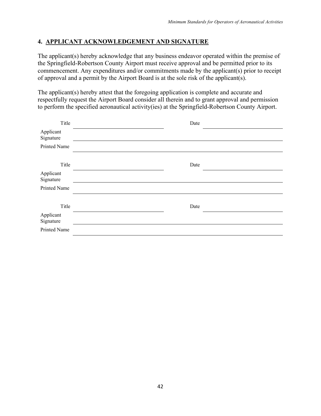### **4. APPLICANT ACKNOWLEDGEMENT AND SIGNATURE**

The applicant(s) hereby acknowledge that any business endeavor operated within the premise of the Springfield-Robertson County Airport must receive approval and be permitted prior to its commencement. Any expenditures and/or commitments made by the applicant(s) prior to receipt of approval and a permit by the Airport Board is at the sole risk of the applicant(s).

The applicant(s) hereby attest that the foregoing application is complete and accurate and respectfully request the Airport Board consider all therein and to grant approval and permission to perform the specified aeronautical activity(ies) at the Springfield-Robertson County Airport.

| Title                  | Date |
|------------------------|------|
| Applicant<br>Signature |      |
| Printed Name           |      |
|                        |      |
| Title                  | Date |
| Applicant<br>Signature |      |
| Printed Name           |      |
|                        |      |
| Title                  | Date |
| Applicant<br>Signature |      |
| Printed Name           |      |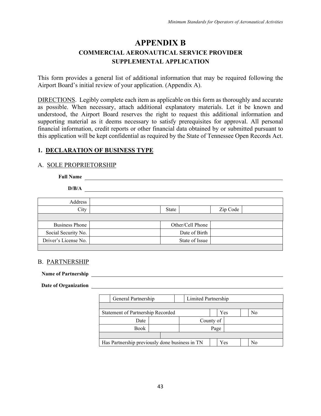# **APPENDIX B COMMERCIAL AERONAUTICAL SERVICE PROVIDER SUPPLEMENTAL APPLICATION**

<span id="page-43-2"></span><span id="page-43-1"></span><span id="page-43-0"></span>This form provides a general list of additional information that may be required following the Airport Board's initial review of your application. (Appendix A).

DIRECTIONS. Legibly complete each item as applicable on this form as thoroughly and accurate as possible. When necessary, attach additional explanatory materials. Let it be known and understood, the Airport Board reserves the right to request this additional information and supporting material as it deems necessary to satisfy prerequisites for approval. All personal financial information, credit reports or other financial data obtained by or submitted pursuant to this application will be kept confidential as required by the State of Tennessee Open Records Act.

#### **1. DECLARATION OF BUSINESS TYPE**

#### A. SOLE PROPRIETORSHIP

**Full Name**

**D/B/A**

| Address               |                  |          |
|-----------------------|------------------|----------|
| City                  | <b>State</b>     | Zip Code |
|                       |                  |          |
| <b>Business Phone</b> | Other/Cell Phone |          |
| Social Security No.   | Date of Birth    |          |
| Driver's License No.  | State of Issue   |          |

#### B. PARTNERSHIP

**Name of Partnership**

**Date of Organization**

| General Partnership                            | Limited Partnership |      |     |    |
|------------------------------------------------|---------------------|------|-----|----|
|                                                |                     |      |     |    |
| Statement of Partnership Recorded              |                     |      | Yes | No |
| Date                                           | County of           |      |     |    |
| Book                                           |                     | Page |     |    |
|                                                |                     |      |     |    |
| Has Partnership previously done business in TN |                     |      | Yes | No |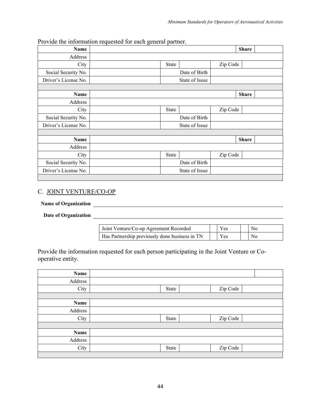| Name                 |       |                |          | <b>Share</b> |
|----------------------|-------|----------------|----------|--------------|
| Address              |       |                |          |              |
| City                 | State |                | Zip Code |              |
| Social Security No.  |       | Date of Birth  |          |              |
| Driver's License No. |       | State of Issue |          |              |
|                      |       |                |          |              |
| Name                 |       |                |          | <b>Share</b> |
| Address              |       |                |          |              |
| City                 | State |                | Zip Code |              |
| Social Security No.  |       | Date of Birth  |          |              |
| Driver's License No. |       | State of Issue |          |              |
|                      |       |                |          |              |
| Name                 |       |                |          | <b>Share</b> |
| Address              |       |                |          |              |
| City                 | State |                | Zip Code |              |
| Social Security No.  |       | Date of Birth  |          |              |
| Driver's License No. |       | State of Issue |          |              |
|                      |       |                |          |              |

Provide the information requested for each general partner.

#### C. JOINT VENTURE/CO-OP

#### **Name of Organization**

### Date of Organization **contact of Organization**

| Joint Venture/Co-op Agreement Recorded         | Yes. | N <sub>0</sub> |
|------------------------------------------------|------|----------------|
| Has Partnership previously done business in TN | Yes  | N <sub>0</sub> |

Provide the information requested for each person participating in the Joint Venture or Cooperative entity.

| Name    |       |          |  |
|---------|-------|----------|--|
| Address |       |          |  |
| City    | State | Zip Code |  |
|         |       |          |  |
| Name    |       |          |  |
| Address |       |          |  |
| City    | State | Zip Code |  |
|         |       |          |  |
| Name    |       |          |  |
| Address |       |          |  |
| City    | State | Zip Code |  |
|         |       |          |  |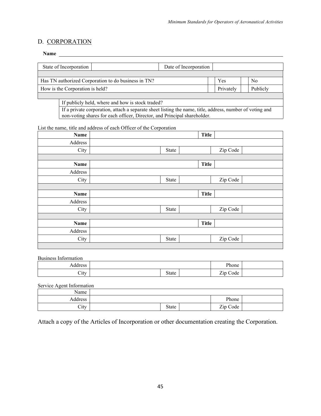#### D. CORPORATION

#### **Name**

| State of Incorporation                              | Date of Incorporation |           |          |
|-----------------------------------------------------|-----------------------|-----------|----------|
|                                                     |                       |           |          |
| Has TN authorized Corporation to do business in TN? |                       | Yes       | No       |
| How is the Corporation is held?                     |                       | Privately | Publicly |
|                                                     |                       |           |          |

If publicly held, where and how is stock traded?

If a private corporation, attach a separate sheet listing the name, title, address, number of voting and non-voting shares for each officer, Director, and Principal shareholder.

List the name, title and address of each Officer of the Corporation

| Name    |       | <b>Title</b> |          |  |
|---------|-------|--------------|----------|--|
| Address |       |              |          |  |
| City    | State |              | Zip Code |  |
|         |       |              |          |  |
| Name    |       | <b>Title</b> |          |  |
| Address |       |              |          |  |
| City    | State |              | Zip Code |  |
|         |       |              |          |  |
|         |       |              |          |  |
| Name    |       | <b>Title</b> |          |  |
| Address |       |              |          |  |
| City    | State |              | Zip Code |  |
|         |       |              |          |  |
| Name    |       | <b>Title</b> |          |  |
| Address |       |              |          |  |
| City    | State |              | Zip Code |  |

Business Information

| $\sim$<br>ັບວະ           |   |            | Phone                                              |  |
|--------------------------|---|------------|----------------------------------------------------|--|
| $+ + +$<br>۰ъ.<br>$\cup$ | ⌒ | га<br>wiai | $\overline{\phantom{a}}$<br>∽<br>-<br>ode<br>- - - |  |

Service Agent Information

| Name                     |       |          |  |
|--------------------------|-------|----------|--|
| Address                  |       | Phone    |  |
| ~··<br>$\mathcal{C}$ ity | State | Zip Code |  |

Attach a copy of the Articles of Incorporation or other documentation creating the Corporation.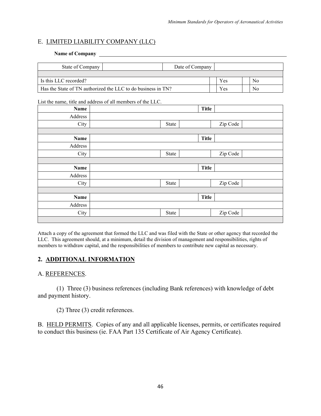### E. LIMITED LIABILITY COMPANY (LLC)

#### **Name of Company**

| State of Company                                             | Date of Company |     |    |
|--------------------------------------------------------------|-----------------|-----|----|
|                                                              |                 |     |    |
| Is this LLC recorded?                                        |                 | Yes | No |
| Has the State of TN authorized the LLC to do business in TN? |                 | Yes | No |

#### List the name, title and address of all members of the LLC.

| <b>Name</b> |       | <b>Title</b> |          |  |
|-------------|-------|--------------|----------|--|
| Address     |       |              |          |  |
| City        | State |              | Zip Code |  |
|             |       |              |          |  |
| Name        |       | <b>Title</b> |          |  |
| Address     |       |              |          |  |
| City        | State |              | Zip Code |  |
|             |       |              |          |  |
|             |       |              |          |  |
| Name        |       | <b>Title</b> |          |  |
| Address     |       |              |          |  |
| City        | State |              | Zip Code |  |
|             |       |              |          |  |
| Name        |       | <b>Title</b> |          |  |
| Address     |       |              |          |  |
| City        | State |              | Zip Code |  |

Attach a copy of the agreement that formed the LLC and was filed with the State or other agency that recorded the LLC. This agreement should, at a minimum, detail the division of management and responsibilities, rights of members to withdraw capital, and the responsibilities of members to contribute new capital as necessary.

#### **2. ADDITIONAL INFORMATION**

#### A. REFERENCES.

(1) Three (3) business references (including Bank references) with knowledge of debt and payment history.

(2) Three (3) credit references.

B. HELD PERMITS. Copies of any and all applicable licenses, permits, or certificates required to conduct this business (ie. FAA Part 135 Certificate of Air Agency Certificate).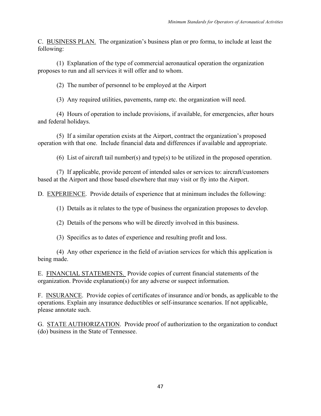C. BUSINESS PLAN. The organization's business plan or pro forma, to include at least the following:

(1) Explanation of the type of commercial aeronautical operation the organization proposes to run and all services it will offer and to whom.

(2) The number of personnel to be employed at the Airport

(3) Any required utilities, pavements, ramp etc. the organization will need.

(4) Hours of operation to include provisions, if available, for emergencies, after hours and federal holidays.

(5) If a similar operation exists at the Airport, contract the organization's proposed operation with that one. Include financial data and differences if available and appropriate.

(6) List of aircraft tail number(s) and type(s) to be utilized in the proposed operation.

(7) If applicable, provide percent of intended sales or services to: aircraft/customers based at the Airport and those based elsewhere that may visit or fly into the Airport.

D. EXPERIENCE. Provide details of experience that at minimum includes the following:

(1) Details as it relates to the type of business the organization proposes to develop.

(2) Details of the persons who will be directly involved in this business.

(3) Specifics as to dates of experience and resulting profit and loss.

(4) Any other experience in the field of aviation services for which this application is being made.

E. FINANCIAL STATEMENTS. Provide copies of current financial statements of the organization. Provide explanation(s) for any adverse or suspect information.

F. INSURANCE. Provide copies of certificates of insurance and/or bonds, as applicable to the operations. Explain any insurance deductibles or self-insurance scenarios. If not applicable, please annotate such.

G. STATE AUTHORIZATION. Provide proof of authorization to the organization to conduct (do) business in the State of Tennessee.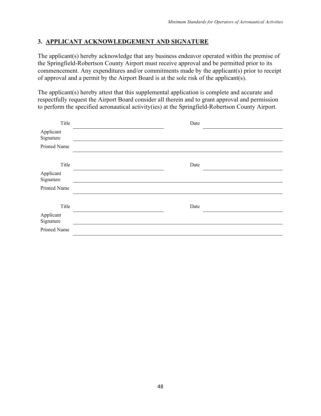### **3. APPLICANT ACKNOWLEDGEMENT AND SIGNATURE**

The applicant(s) hereby acknowledge that any business endeavor operated within the premise of the Springfield-Robertson County Airport must receive approval and be permitted prior to its commencement. Any expenditures and/or commitments made by the applicant(s) prior to receipt of approval and a permit by the Airport Board is at the sole risk of the applicant(s).

The applicant(s) hereby attest that this supplemental application is complete and accurate and respectfully request the Airport Board consider all therein and to grant approval and permission to perform the specified aeronautical activity(ies) at the Springfield-Robertson County Airport.

| Title                  | Date |
|------------------------|------|
| Applicant<br>Signature |      |
| Printed Name           |      |
| Title                  | Date |
| Applicant<br>Signature |      |
| Printed Name           |      |
| Title                  | Date |
| Applicant<br>Signature |      |
| Printed Name           |      |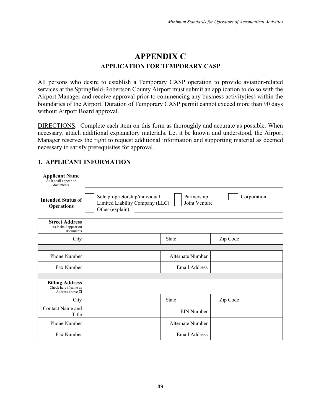# **APPENDIX C APPLICATION FOR TEMPORARY CASP**

<span id="page-49-1"></span><span id="page-49-0"></span>All persons who desire to establish a Temporary CASP operation to provide aviation-related services at the Springfield-Robertson County Airport must submit an application to do so with the Airport Manager and receive approval prior to commencing any business activity(ies) within the boundaries of the Airport. Duration of Temporary CASP permit cannot exceed more than 90 days without Airport Board approval.

DIRECTIONS. Complete each item on this form as thoroughly and accurate as possible. When necessary, attach additional explanatory materials. Let it be known and understood, the Airport Manager reserves the right to request additional information and supporting material as deemed necessary to satisfy prerequisites for approval.

### **1. APPLICANT INFORMATION**

| <b>Applicant Name</b><br>As it shall appear on<br>documents                |                                                                                                                                     |                   |                  |          |  |
|----------------------------------------------------------------------------|-------------------------------------------------------------------------------------------------------------------------------------|-------------------|------------------|----------|--|
| <b>Intended Status of</b><br><b>Operations</b>                             | Corporation<br>Sole proprietorship/individual<br>Partnership<br>Limited Liability Company (LLC)<br>Joint Venture<br>Other (explain) |                   |                  |          |  |
| <b>Street Address</b><br>As it shall appear on<br>documents                |                                                                                                                                     |                   |                  |          |  |
| City                                                                       |                                                                                                                                     | <b>State</b>      |                  | Zip Code |  |
|                                                                            |                                                                                                                                     |                   |                  |          |  |
| Phone Number                                                               |                                                                                                                                     |                   | Alternate Number |          |  |
| Fax Number                                                                 | Email Address                                                                                                                       |                   |                  |          |  |
|                                                                            |                                                                                                                                     |                   |                  |          |  |
| <b>Billing Address</b><br>Check here if same as<br>Address above $\square$ |                                                                                                                                     |                   |                  |          |  |
| City                                                                       |                                                                                                                                     | <b>State</b>      |                  | Zip Code |  |
| Contact Name and<br>Title                                                  |                                                                                                                                     | <b>EIN Number</b> |                  |          |  |
| Phone Number                                                               |                                                                                                                                     | Alternate Number  |                  |          |  |
| Fax Number                                                                 |                                                                                                                                     | Email Address     |                  |          |  |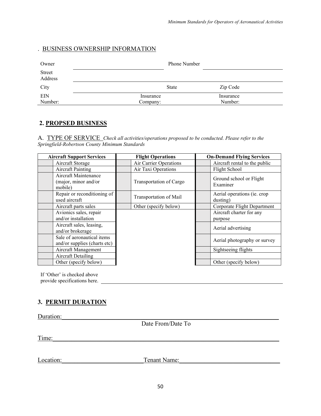### . BUSINESS OWNERSHIP INFORMATION

| Owner                    | Phone Number          |                      |
|--------------------------|-----------------------|----------------------|
| <b>Street</b><br>Address |                       |                      |
| City                     | State                 | Zip Code             |
| EIN<br>Number:           | Insurance<br>Company: | Insurance<br>Number: |

### **2. PROPSED BUSINESS**

A. TYPE OF SERVICE *Check all activities/operations proposed to be conducted. Please refer to the Springfield-Robertson County Minimum Standards*

| <b>Aircraft Support Services</b>                           | <b>Flight Operations</b> | <b>On-Demand Flying Services</b>        |  |
|------------------------------------------------------------|--------------------------|-----------------------------------------|--|
| Aircraft Storage                                           | Air Carrier Operations   | Aircraft rental to the public           |  |
| <b>Aircraft Painting</b>                                   | Air Taxi Operations      | Flight School                           |  |
| Aircraft Maintenance<br>(major, minor and/or<br>mobile)    | Transportation of Cargo  | Ground school or Flight<br>Examiner     |  |
| Repair or reconditioning of<br>used aircraft               | Transportation of Mail   | Aerial operations (ie. crop<br>dusting) |  |
| Aircraft parts sales                                       | Other (specify below)    | Corporate Flight Department             |  |
| Avionics sales, repair                                     |                          | Aircraft charter for any                |  |
| and/or installation                                        |                          | purpose                                 |  |
| Aircraft sales, leasing,<br>and/or brokerage               |                          | Aerial advertising                      |  |
| Sale of aeronautical items<br>and/or supplies (charts etc) |                          | Aerial photography or survey            |  |
| Aircraft Management                                        |                          | Sightseeing flights                     |  |
| <b>Aircraft Detailing</b>                                  |                          |                                         |  |
| Other (specify below)                                      |                          | Other (specify below)                   |  |

If 'Other' is checked above provide specifications here.

### **3. PERMIT DURATION**

Duration:

Date From/Date To

Time:

Location: Tenant Name: